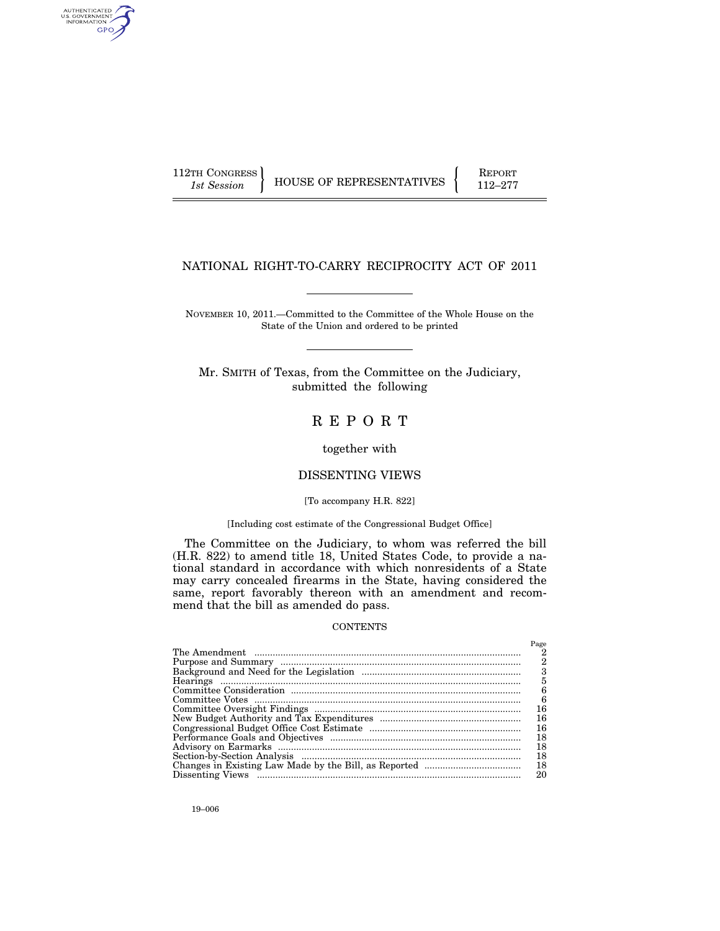112TH CONGRESS HOUSE OF REPRESENTATIVES FEPORT 112–277

## NATIONAL RIGHT-TO-CARRY RECIPROCITY ACT OF 2011

NOVEMBER 10, 2011.—Committed to the Committee of the Whole House on the State of the Union and ordered to be printed

Mr. SMITH of Texas, from the Committee on the Judiciary, submitted the following

# R E P O R T

together with

## DISSENTING VIEWS

#### [To accompany H.R. 822]

## [Including cost estimate of the Congressional Budget Office]

The Committee on the Judiciary, to whom was referred the bill (H.R. 822) to amend title 18, United States Code, to provide a national standard in accordance with which nonresidents of a State may carry concealed firearms in the State, having considered the same, report favorably thereon with an amendment and recommend that the bill as amended do pass.

### **CONTENTS**

| Page |
|------|
|      |
| 2    |
| 3    |
| 5    |
| 6    |
| 6    |
| 16   |
| 16   |
| 16   |
| 18   |
| 18   |
| 18   |
| 18   |
| 20   |

AUTHENTICATED<br>U.S. GOVERNMENT<br>INFORMATION GPO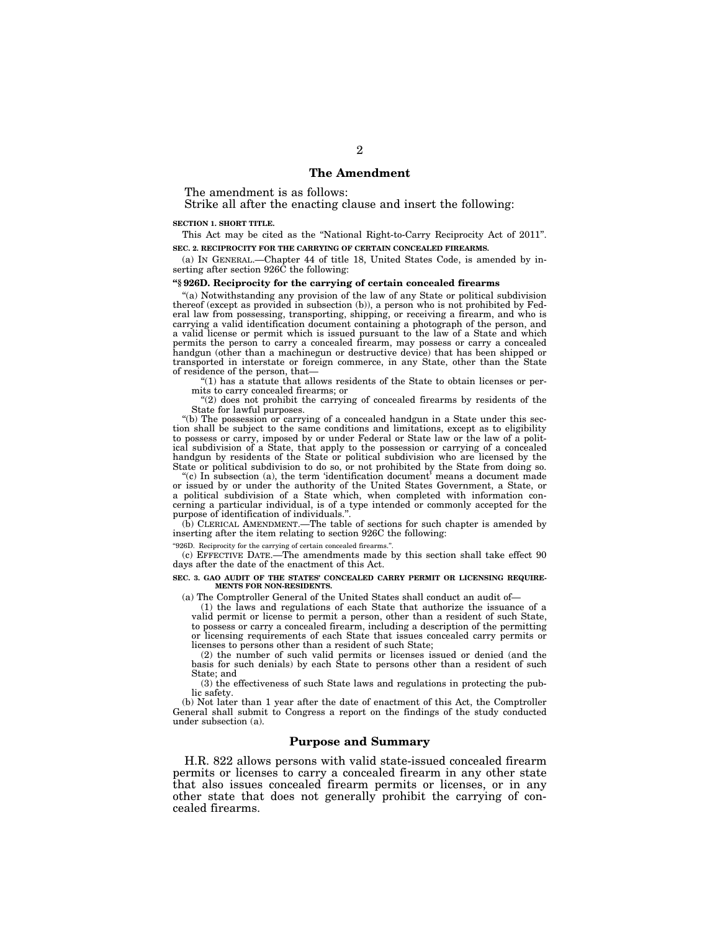### **The Amendment**

The amendment is as follows:

Strike all after the enacting clause and insert the following:

#### **SECTION 1. SHORT TITLE.**

This Act may be cited as the ''National Right-to-Carry Reciprocity Act of 2011''. **SEC. 2. RECIPROCITY FOR THE CARRYING OF CERTAIN CONCEALED FIREARMS.** 

(a) IN GENERAL.—Chapter 44 of title 18, United States Code, is amended by inserting after section 926C the following:

### **''§ 926D. Reciprocity for the carrying of certain concealed firearms**

''(a) Notwithstanding any provision of the law of any State or political subdivision thereof (except as provided in subsection (b)), a person who is not prohibited by Federal law from possessing, transporting, shipping, or receiving a firearm, and who is carrying a valid identification document containing a photograph of the person, and a valid license or permit which is issued pursuant to the law of a State and which permits the person to carry a concealed firearm, may possess or carry a concealed handgun (other than a machinegun or destructive device) that has been shipped or transported in interstate or foreign commerce, in any State, other than the State of residence of the person, that—

''(1) has a statute that allows residents of the State to obtain licenses or permits to carry concealed firearms; or

 $''(2)$  does not prohibit the carrying of concealed firearms by residents of the State for lawful purposes.

''(b) The possession or carrying of a concealed handgun in a State under this section shall be subject to the same conditions and limitations, except as to eligibility to possess or carry, imposed by or under Federal or State law or the law of a political subdivision of a State, that apply to the possession or carrying of a concealed handgun by residents of the State or political subdivision who are licensed by the State or political subdivision to do so, or not prohibited by the State from doing so.

''(c) In subsection (a), the term 'identification document' means a document made or issued by or under the authority of the United States Government, a State, or a political subdivision of a State which, when completed with information concerning a particular individual, is of a type intended or commonly accepted for the purpose of identification of individuals.'

(b) CLERICAL AMENDMENT.—The table of sections for such chapter is amended by inserting after the item relating to section 926C the following:

"926D. Reciprocity for the carrying of certain concealed firearms.

(c) EFFECTIVE DATE.—The amendments made by this section shall take effect 90 days after the date of the enactment of this Act.

#### **SEC. 3. GAO AUDIT OF THE STATES' CONCEALED CARRY PERMIT OR LICENSING REQUIRE-MENTS FOR NON-RESIDENTS.**

(a) The Comptroller General of the United States shall conduct an audit of—

(1) the laws and regulations of each State that authorize the issuance of a valid permit or license to permit a person, other than a resident of such State, to possess or carry a concealed firearm, including a description of the permitting or licensing requirements of each State that issues concealed carry permits or licenses to persons other than a resident of such State;

(2) the number of such valid permits or licenses issued or denied (and the basis for such denials) by each State to persons other than a resident of such State; and

(3) the effectiveness of such State laws and regulations in protecting the public safety.

(b) Not later than 1 year after the date of enactment of this Act, the Comptroller General shall submit to Congress a report on the findings of the study conducted under subsection (a).

### **Purpose and Summary**

H.R. 822 allows persons with valid state-issued concealed firearm permits or licenses to carry a concealed firearm in any other state that also issues concealed firearm permits or licenses, or in any other state that does not generally prohibit the carrying of concealed firearms.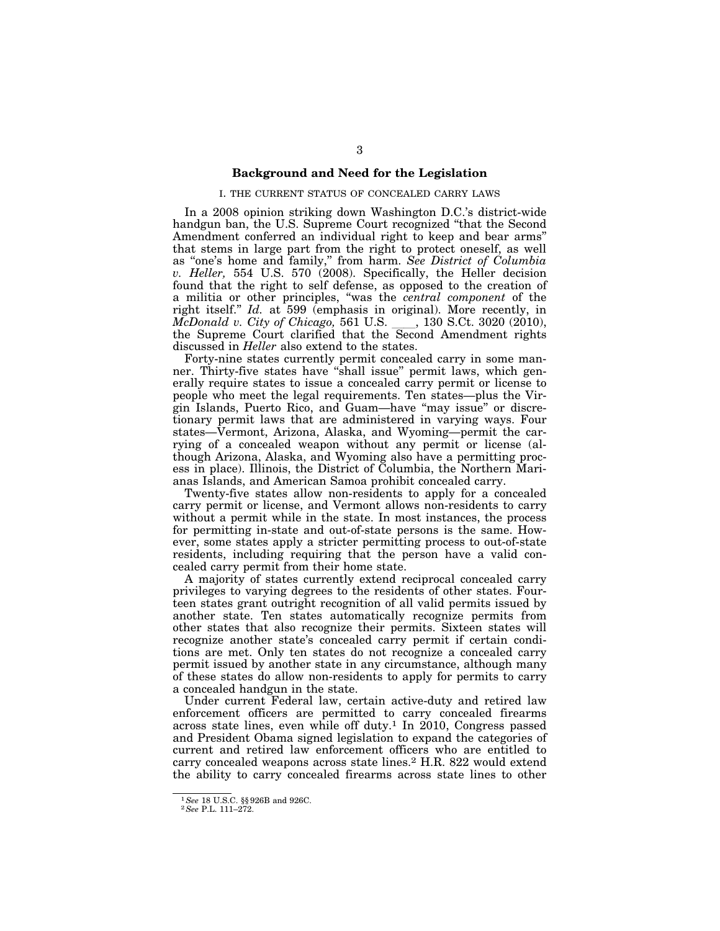### **Background and Need for the Legislation**

#### I. THE CURRENT STATUS OF CONCEALED CARRY LAWS

In a 2008 opinion striking down Washington D.C.'s district-wide handgun ban, the U.S. Supreme Court recognized "that the Second Amendment conferred an individual right to keep and bear arms'' that stems in large part from the right to protect oneself, as well as ''one's home and family,'' from harm. *See District of Columbia v. Heller,* 554 U.S. 570 (2008). Specifically, the Heller decision found that the right to self defense, as opposed to the creation of a militia or other principles, ''was the *central component* of the right itself." *Id.* at 599 (emphasis in original). More recently, in *McDonald v. City of Chicago*, 561 U.S. \_\_\_, 130 S.Ct. 3020 (2010), *McDonald v. City of Chicago,* 561 U.S. <sub>\_\_\_\_</sub>, 130 S.Ct. 3020 (2010), the Supreme Court clarified that the Second Amendment rights discussed in *Heller* also extend to the states.

Forty-nine states currently permit concealed carry in some manner. Thirty-five states have ''shall issue'' permit laws, which generally require states to issue a concealed carry permit or license to people who meet the legal requirements. Ten states—plus the Virgin Islands, Puerto Rico, and Guam—have ''may issue'' or discretionary permit laws that are administered in varying ways. Four states—Vermont, Arizona, Alaska, and Wyoming—permit the carrying of a concealed weapon without any permit or license (although Arizona, Alaska, and Wyoming also have a permitting process in place). Illinois, the District of Columbia, the Northern Marianas Islands, and American Samoa prohibit concealed carry.

Twenty-five states allow non-residents to apply for a concealed carry permit or license, and Vermont allows non-residents to carry without a permit while in the state. In most instances, the process for permitting in-state and out-of-state persons is the same. However, some states apply a stricter permitting process to out-of-state residents, including requiring that the person have a valid concealed carry permit from their home state.

A majority of states currently extend reciprocal concealed carry privileges to varying degrees to the residents of other states. Fourteen states grant outright recognition of all valid permits issued by another state. Ten states automatically recognize permits from other states that also recognize their permits. Sixteen states will recognize another state's concealed carry permit if certain conditions are met. Only ten states do not recognize a concealed carry permit issued by another state in any circumstance, although many of these states do allow non-residents to apply for permits to carry a concealed handgun in the state.

Under current Federal law, certain active-duty and retired law enforcement officers are permitted to carry concealed firearms across state lines, even while off duty.1 In 2010, Congress passed and President Obama signed legislation to expand the categories of current and retired law enforcement officers who are entitled to carry concealed weapons across state lines.2 H.R. 822 would extend the ability to carry concealed firearms across state lines to other

<sup>1</sup>*See* 18 U.S.C. §§ 926B and 926C. 2*See* P.L. 111–272.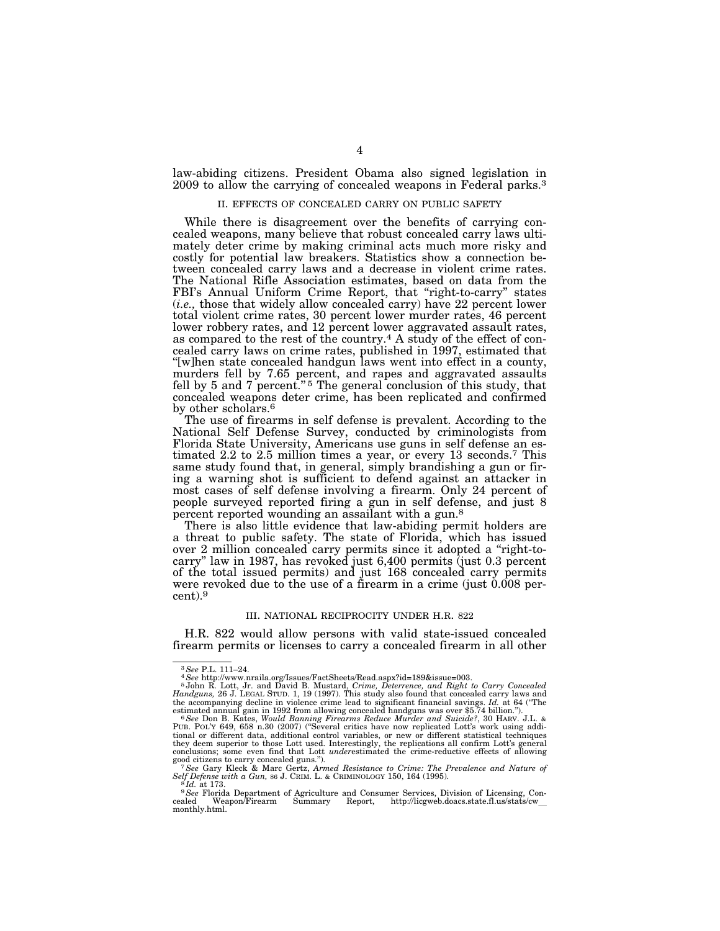law-abiding citizens. President Obama also signed legislation in 2009 to allow the carrying of concealed weapons in Federal parks.3

#### II. EFFECTS OF CONCEALED CARRY ON PUBLIC SAFETY

While there is disagreement over the benefits of carrying concealed weapons, many believe that robust concealed carry laws ultimately deter crime by making criminal acts much more risky and costly for potential law breakers. Statistics show a connection between concealed carry laws and a decrease in violent crime rates. The National Rifle Association estimates, based on data from the FBI's Annual Uniform Crime Report, that "right-to-carry" states (*i.e.,* those that widely allow concealed carry) have 22 percent lower total violent crime rates, 30 percent lower murder rates, 46 percent lower robbery rates, and 12 percent lower aggravated assault rates, as compared to the rest of the country.4 A study of the effect of concealed carry laws on crime rates, published in 1997, estimated that ''[w]hen state concealed handgun laws went into effect in a county, murders fell by 7.65 percent, and rapes and aggravated assaults fell by 5 and 7 percent."<sup>5</sup> The general conclusion of this study, that concealed weapons deter crime, has been replicated and confirmed by other scholars.<sup>6</sup>

The use of firearms in self defense is prevalent. According to the National Self Defense Survey, conducted by criminologists from Florida State University, Americans use guns in self defense an estimated 2.2 to 2.5 million times a year, or every 13 seconds.7 This same study found that, in general, simply brandishing a gun or firing a warning shot is sufficient to defend against an attacker in most cases of self defense involving a firearm. Only 24 percent of people surveyed reported firing a gun in self defense, and just 8 percent reported wounding an assailant with a gun.<sup>8</sup>

There is also little evidence that law-abiding permit holders are a threat to public safety. The state of Florida, which has issued over 2 million concealed carry permits since it adopted a ''right-tocarry'' law in 1987, has revoked just 6,400 permits (just 0.3 percent of the total issued permits) and just 168 concealed carry permits were revoked due to the use of a firearm in a crime (just 0.008 percent).9

#### III. NATIONAL RECIPROCITY UNDER H.R. 822

H.R. 822 would allow persons with valid state-issued concealed firearm permits or licenses to carry a concealed firearm in all other

<sup>3</sup>*See* P.L. 111–24. 4*See* http://www.nraila.org/Issues/FactSheets/Read.aspx?id=189&issue=003. 5 John R. Lott, Jr. and David B. Mustard, *Crime, Deterrence, and Right to Carry Concealed Handguns,* 26 J. LEGAL STUD. 1, 19 (1997). This study also found that concealed carry laws and the accompanying decline in violence crime lead to significant financial savings. *Id.* at 64 (''The

estimated annual gain in 1992 from allowing concealed handguns was over \$5.74 billion.").<br>" See Don B. Kates, Would Banning Firearms Reduce Murder and Suicide?, 30 HARV. J.L. &<br>PUB. POL'Y 649, 658 n.30 (2007) ("Several cri they deem superior to those Lott used. Interestingly, the replications all confirm Lott's general conclusions; some even find that Lott *under*estimated the crime-reductive effects of allowing

good citizens to carry concealed guns.").<br><sup>7</sup> See Gary Kleck & Marc Gertz, *Armed Resistance to Crime: The Prevalence and Nature of* Self Defense with a Gun, 86 J. CRIM. L. & CRIMINOLOGY 150, 164 (1995). *Self Defense with a Gun, 86 J. CRIM. L. & CRIMINOLOGY 150, 164 (1995).*<br><sup>8</sup> *Id. at 173.*<br><sup>9</sup> *See Florida Department of Agriculture and Consumer Services, Division of Licensing, Con-*

cealed Weapon/Firearm Summary Report, http://licgweb.doacs.state.fl.us/stats/cw\_<br>monthlv.html. monthly.html.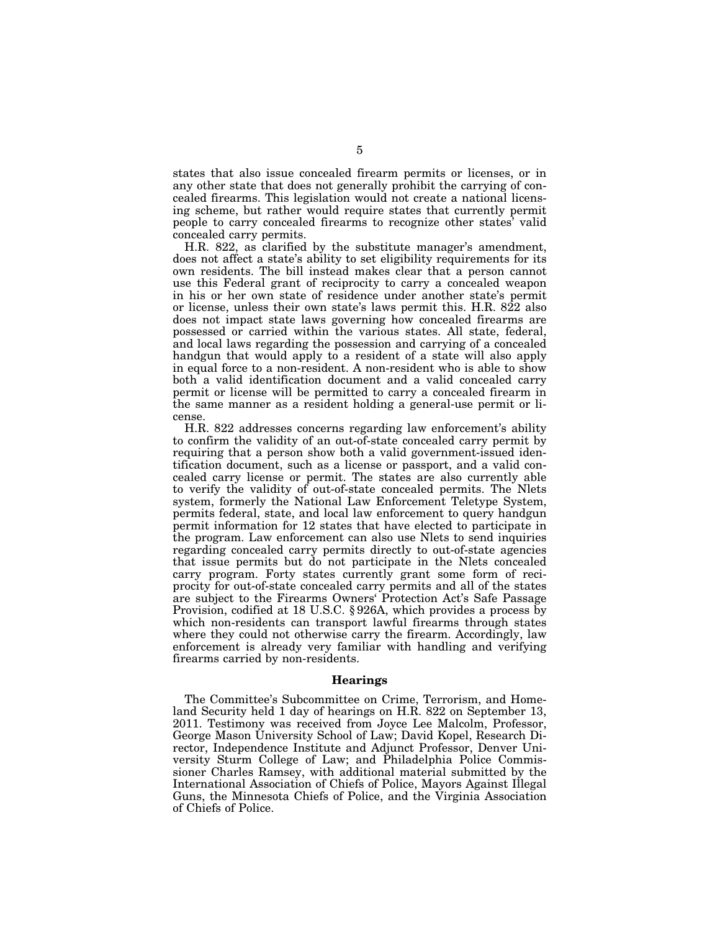states that also issue concealed firearm permits or licenses, or in any other state that does not generally prohibit the carrying of concealed firearms. This legislation would not create a national licensing scheme, but rather would require states that currently permit people to carry concealed firearms to recognize other states' valid concealed carry permits.

H.R. 822, as clarified by the substitute manager's amendment, does not affect a state's ability to set eligibility requirements for its own residents. The bill instead makes clear that a person cannot use this Federal grant of reciprocity to carry a concealed weapon in his or her own state of residence under another state's permit or license, unless their own state's laws permit this. H.R. 822 also does not impact state laws governing how concealed firearms are possessed or carried within the various states. All state, federal, and local laws regarding the possession and carrying of a concealed handgun that would apply to a resident of a state will also apply in equal force to a non-resident. A non-resident who is able to show both a valid identification document and a valid concealed carry permit or license will be permitted to carry a concealed firearm in the same manner as a resident holding a general-use permit or license.

H.R. 822 addresses concerns regarding law enforcement's ability to confirm the validity of an out-of-state concealed carry permit by requiring that a person show both a valid government-issued identification document, such as a license or passport, and a valid concealed carry license or permit. The states are also currently able to verify the validity of out-of-state concealed permits. The Nlets system, formerly the National Law Enforcement Teletype System, permits federal, state, and local law enforcement to query handgun permit information for 12 states that have elected to participate in the program. Law enforcement can also use Nlets to send inquiries regarding concealed carry permits directly to out-of-state agencies that issue permits but do not participate in the Nlets concealed carry program. Forty states currently grant some form of reciprocity for out-of-state concealed carry permits and all of the states are subject to the Firearms Owners' Protection Act's Safe Passage Provision, codified at 18 U.S.C. § 926A, which provides a process by which non-residents can transport lawful firearms through states where they could not otherwise carry the firearm. Accordingly, law enforcement is already very familiar with handling and verifying firearms carried by non-residents.

### **Hearings**

The Committee's Subcommittee on Crime, Terrorism, and Homeland Security held 1 day of hearings on H.R. 822 on September 13, 2011. Testimony was received from Joyce Lee Malcolm, Professor, George Mason University School of Law; David Kopel, Research Director, Independence Institute and Adjunct Professor, Denver University Sturm College of Law; and Philadelphia Police Commissioner Charles Ramsey, with additional material submitted by the International Association of Chiefs of Police, Mayors Against Illegal Guns, the Minnesota Chiefs of Police, and the Virginia Association of Chiefs of Police.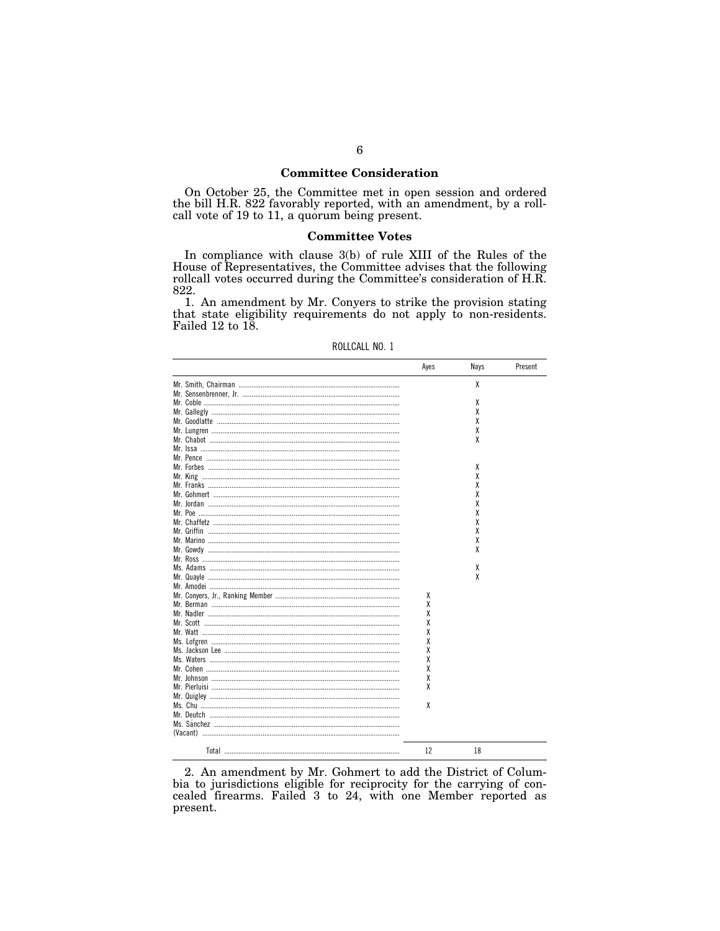### **Committee Consideration**

On October 25, the Committee met in open session and ordered the bill H.R. 822 favorably reported, with an amendment, by a roll-<br>call vote of 19 to 11, a quorum being present.

### **Committee Votes**

In compliance with clause 3(b) of rule XIII of the Rules of the House of Representatives, the Committee advises that the following rollcall votes occurred during the Committee's consideration of H.R. 822.

1. An amendment by Mr. Conyers to strike the provision stating that state eligibility requirements do not apply to non-residents. Failed 12 to 18.

|                                       | Ayes | Nays | Present |
|---------------------------------------|------|------|---------|
|                                       |      | x    |         |
|                                       |      |      |         |
|                                       |      | χ    |         |
|                                       |      | χ    |         |
|                                       |      | χ    |         |
|                                       |      | χ    |         |
|                                       |      | χ    |         |
|                                       |      |      |         |
|                                       |      |      |         |
|                                       |      |      |         |
|                                       |      | X    |         |
|                                       |      | χ    |         |
|                                       |      | χ    |         |
|                                       |      | χ    |         |
|                                       |      | χ    |         |
|                                       |      | χ    |         |
|                                       |      | χ    |         |
|                                       |      | χ    |         |
|                                       |      | χ    |         |
|                                       |      | χ    |         |
|                                       |      |      |         |
|                                       |      | χ    |         |
|                                       |      | χ    |         |
|                                       |      |      |         |
|                                       |      |      |         |
|                                       | χ    |      |         |
|                                       | χ    |      |         |
|                                       | χ    |      |         |
|                                       | χ    |      |         |
|                                       | χ    |      |         |
|                                       | χ    |      |         |
|                                       | χ    |      |         |
|                                       | χ    |      |         |
|                                       | χ    |      |         |
|                                       | χ    |      |         |
|                                       | χ    |      |         |
|                                       |      |      |         |
|                                       | χ    |      |         |
|                                       |      |      |         |
|                                       |      |      |         |
|                                       |      |      |         |
|                                       |      |      |         |
|                                       |      |      |         |
| Total ………………………………………………………………………………… | 12   | 18   |         |

| ROLLCALL NO. 1 |  |
|----------------|--|
|                |  |

2. An amendment by Mr. Gohmert to add the District of Columbia to jurisdictions eligible for reciprocity for the carrying of concealed firearms. Failed  $3$  to  $24$ , with one Member reported as present.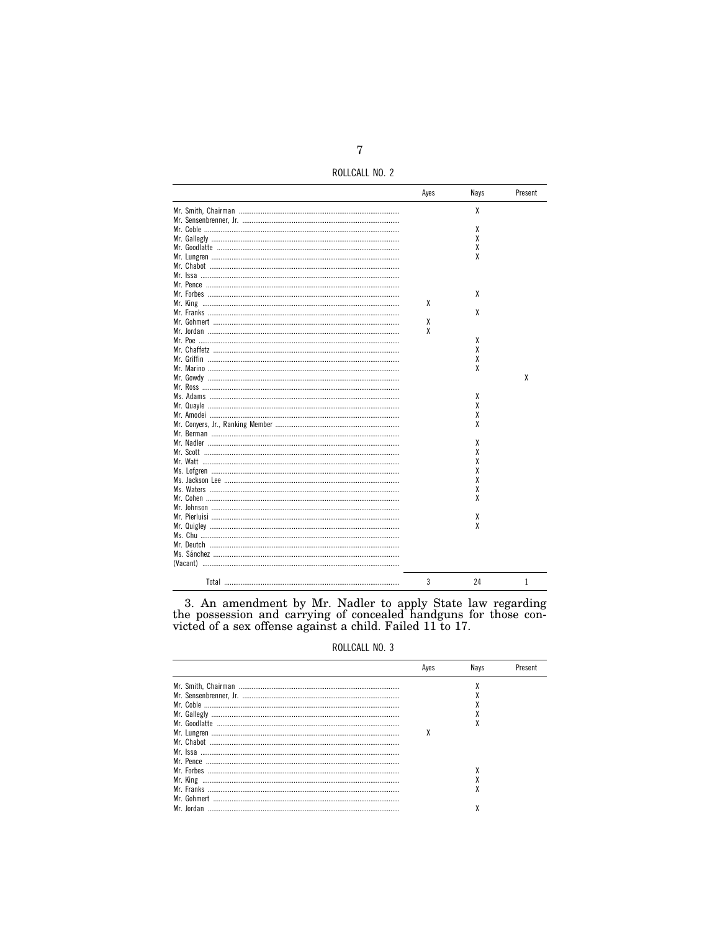ROLLCALL NO. 2

|                                               | Ayes | Nays | Present |
|-----------------------------------------------|------|------|---------|
|                                               |      | χ    |         |
|                                               |      |      |         |
|                                               |      | χ    |         |
|                                               |      | χ    |         |
|                                               |      | χ    |         |
|                                               |      | χ    |         |
|                                               |      |      |         |
|                                               |      |      |         |
|                                               |      |      |         |
|                                               |      | x    |         |
|                                               | χ    |      |         |
|                                               |      | x    |         |
|                                               | χ    |      |         |
|                                               | χ    |      |         |
|                                               |      | χ    |         |
|                                               |      | χ    |         |
|                                               |      | χ    |         |
|                                               |      | χ    |         |
|                                               |      |      | X       |
|                                               |      |      |         |
| Ms. Adams …………………………………………………………………………………………… |      | χ    |         |
|                                               |      | χ    |         |
|                                               |      | x    |         |
|                                               |      | χ    |         |
|                                               |      |      |         |
|                                               |      | χ    |         |
|                                               |      | χ    |         |
|                                               |      | χ    |         |
|                                               |      | χ    |         |
|                                               |      | χ    |         |
|                                               |      | χ    |         |
|                                               |      | χ    |         |
|                                               |      |      |         |
|                                               |      | χ    |         |
|                                               |      | χ    |         |
|                                               |      |      |         |
|                                               |      |      |         |
|                                               |      |      |         |
|                                               |      |      |         |
|                                               |      |      |         |
|                                               | 3    | 24   | 1       |

3. An amendment by Mr. Nadler to apply State law regarding the possession and carrying of concealed handguns for those convicted of a sex offense against a child. Failed 11 to 17.

ROLLCALL NO. 3

| Aves | Navs | Present |
|------|------|---------|
|      |      |         |
|      |      |         |
|      |      |         |
|      |      |         |
|      |      |         |
|      |      |         |
|      |      |         |
|      |      |         |
|      |      |         |
|      |      |         |
|      |      |         |
|      |      |         |
|      |      |         |
|      |      |         |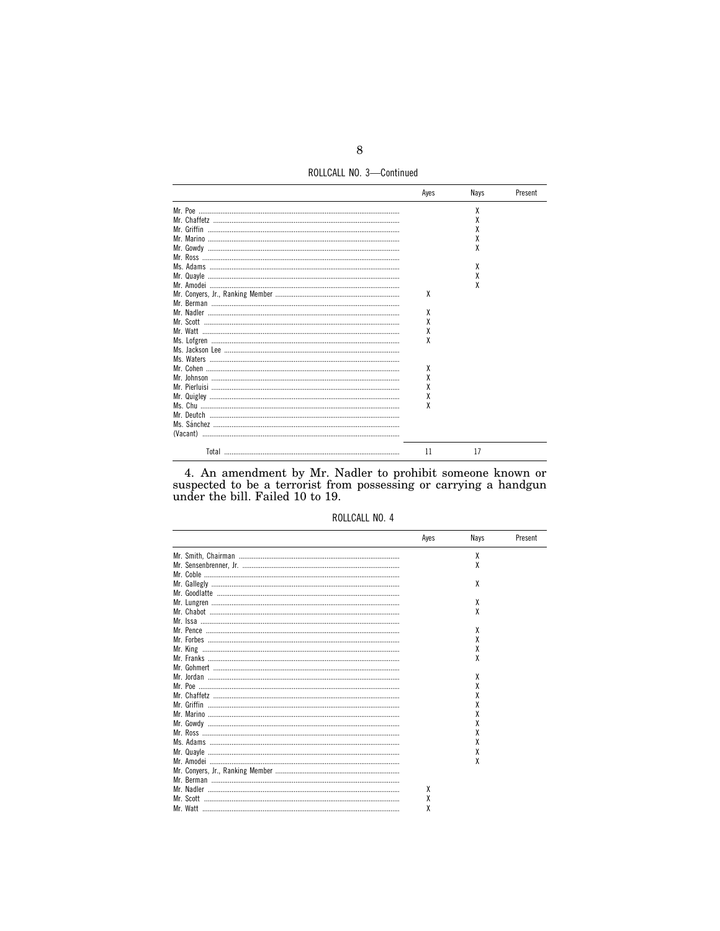ROLLCALL NO. 3-Continued

| Aves | Nays | Present |
|------|------|---------|
|      | χ    |         |
|      | х    |         |
|      | χ    |         |
|      | χ    |         |
|      |      |         |
|      |      |         |
|      | χ    |         |
|      | χ    |         |
|      |      |         |
| X    |      |         |
|      |      |         |
| χ    |      |         |
| χ    |      |         |
| χ    |      |         |
| X    |      |         |
|      |      |         |
|      |      |         |
|      |      |         |
| χ    |      |         |
| X    |      |         |
| χ    |      |         |
| χ    |      |         |
| X    |      |         |
|      |      |         |
|      |      |         |
|      |      |         |
| 11   | 17   |         |

4. An amendment by Mr. Nadler to prohibit someone known or suspected to be a terrorist from possessing or carrying a handgun under the bill. Failed 10 to 19.

|  |  | ROLLCALL NO. 4 |  |  |
|--|--|----------------|--|--|
|--|--|----------------|--|--|

|             | Ayes | Nays | Present |
|-------------|------|------|---------|
|             |      | χ    |         |
|             |      | χ    |         |
|             |      |      |         |
|             |      | χ    |         |
|             |      |      |         |
|             |      | χ    |         |
|             |      | χ    |         |
|             |      |      |         |
|             |      | χ    |         |
|             |      |      |         |
|             |      |      |         |
|             |      | χ    |         |
|             |      |      |         |
|             |      | χ    |         |
|             |      |      |         |
|             |      |      |         |
| Mr. Griffin |      | x    |         |
|             |      |      |         |
|             |      |      |         |
|             |      |      |         |
|             |      |      |         |
|             |      | χ    |         |
|             |      | χ    |         |
|             |      | χ    |         |
|             |      |      |         |
|             |      |      |         |
|             | χ    |      |         |
|             | χ    |      |         |
|             | χ    |      |         |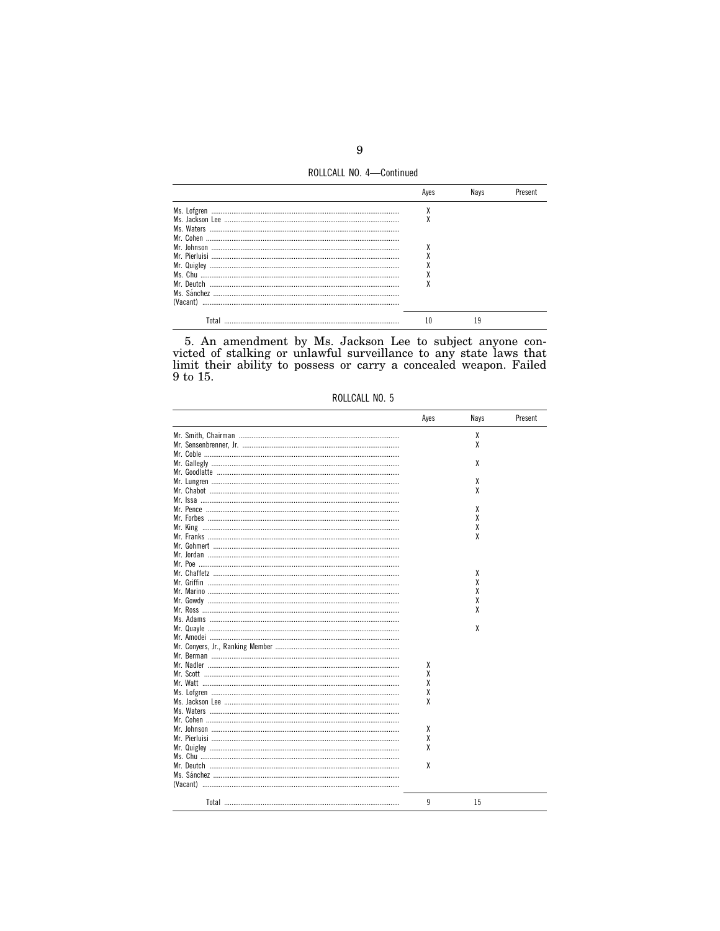ROLLCALL NO. 4-Continued

| Ms. Lofgren   | Λ |    |  |
|---------------|---|----|--|
|               |   |    |  |
| Ms. Waters    |   |    |  |
| Mr. Cohen     |   |    |  |
| Mr. Johnson   |   |    |  |
| Mr. Pierluisi |   |    |  |
| Mr. Quigley   |   |    |  |
| Ms. Chu       | Λ |    |  |
| Mr. Deutch    |   |    |  |
|               |   |    |  |
| (Vacant)      |   |    |  |
| Tota          |   | ۱۹ |  |

5. An amendment by Ms. Jackson Lee to subject anyone convicted of stalking or unlawful surveillance to any state laws that limit their ability to possess or carry a concealed weapon. Failed 9 to 15.

| ROLLCALL NO. 5 |  |
|----------------|--|
|                |  |

|                                               | Ayes | Nays | Present |
|-----------------------------------------------|------|------|---------|
|                                               |      | χ    |         |
|                                               |      | χ    |         |
|                                               |      |      |         |
|                                               |      | x    |         |
|                                               |      |      |         |
|                                               |      | χ    |         |
|                                               |      | χ    |         |
|                                               |      |      |         |
|                                               |      | x    |         |
|                                               |      | χ    |         |
|                                               |      | χ    |         |
|                                               |      | χ    |         |
|                                               |      |      |         |
|                                               |      |      |         |
|                                               |      |      |         |
|                                               |      | x    |         |
|                                               |      | χ    |         |
|                                               |      | χ    |         |
| Mr. Gowdy …………………………………………………………………………………………… |      | χ    |         |
|                                               |      | χ    |         |
|                                               |      |      |         |
|                                               |      | X    |         |
|                                               |      |      |         |
|                                               |      |      |         |
|                                               |      |      |         |
|                                               | χ    |      |         |
|                                               | χ    |      |         |
|                                               | X    |      |         |
|                                               | χ    |      |         |
|                                               | χ    |      |         |
|                                               |      |      |         |
|                                               |      |      |         |
|                                               | χ    |      |         |
|                                               | χ    |      |         |
|                                               | χ    |      |         |
|                                               |      |      |         |
|                                               | Χ    |      |         |
|                                               |      |      |         |
| (Vacant) ……………………………………………………………………………………………  |      |      |         |
| Total ………………………………………………………………………………          | 9    | 15   |         |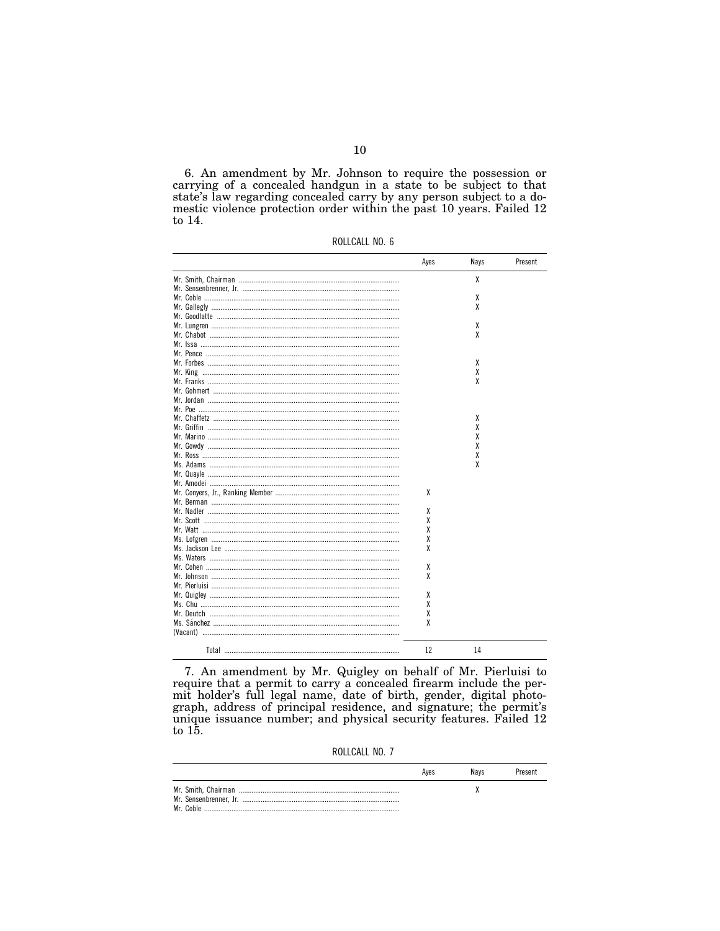6. An amendment by Mr. Johnson to require the possession or carrying of a concealed handgun in a state to be subject to that state's law regarding concealed carry by any person subject to a domestic violence protection order within the past 10 years. Failed 12 to 14.

|  |  |  |  | ROLLCALL NO. 6 |  |  |
|--|--|--|--|----------------|--|--|
|  |  |  |  |                |  |  |

|                                       | Ayes | Nays | Present |
|---------------------------------------|------|------|---------|
|                                       |      | χ    |         |
|                                       |      |      |         |
|                                       |      | χ    |         |
|                                       |      | X    |         |
|                                       |      |      |         |
|                                       |      | χ    |         |
|                                       |      | χ    |         |
|                                       |      |      |         |
|                                       |      |      |         |
|                                       |      | χ    |         |
|                                       |      | χ    |         |
|                                       |      | X    |         |
|                                       |      |      |         |
|                                       |      |      |         |
|                                       |      |      |         |
|                                       |      | χ    |         |
|                                       |      | χ    |         |
|                                       |      | X    |         |
|                                       |      | χ    |         |
|                                       |      | χ    |         |
|                                       |      | X    |         |
|                                       |      |      |         |
|                                       |      |      |         |
|                                       | χ    |      |         |
|                                       |      |      |         |
|                                       | χ    |      |         |
|                                       | χ    |      |         |
|                                       | χ    |      |         |
|                                       | X    |      |         |
|                                       | χ    |      |         |
|                                       |      |      |         |
|                                       | χ    |      |         |
|                                       | χ    |      |         |
|                                       |      |      |         |
|                                       | χ    |      |         |
|                                       | χ    |      |         |
|                                       | X    |      |         |
|                                       | χ    |      |         |
|                                       |      |      |         |
|                                       |      |      |         |
| Total ………………………………………………………………………………… | 12   | 14   |         |

7. An amendment by Mr. Quigley on behalf of Mr. Pierluisi to require that a permit to carry a concealed firearm include the permit holder's full legal name, date of birth, gender, digital photograph, address of principal residence, and signature; the permit's unique issuance number; to  $15.$ 

ROLLCALL NO. 7

|           | Aves | Navs | Present |
|-----------|------|------|---------|
|           |      |      |         |
|           |      |      |         |
| Mr. Coblo |      |      |         |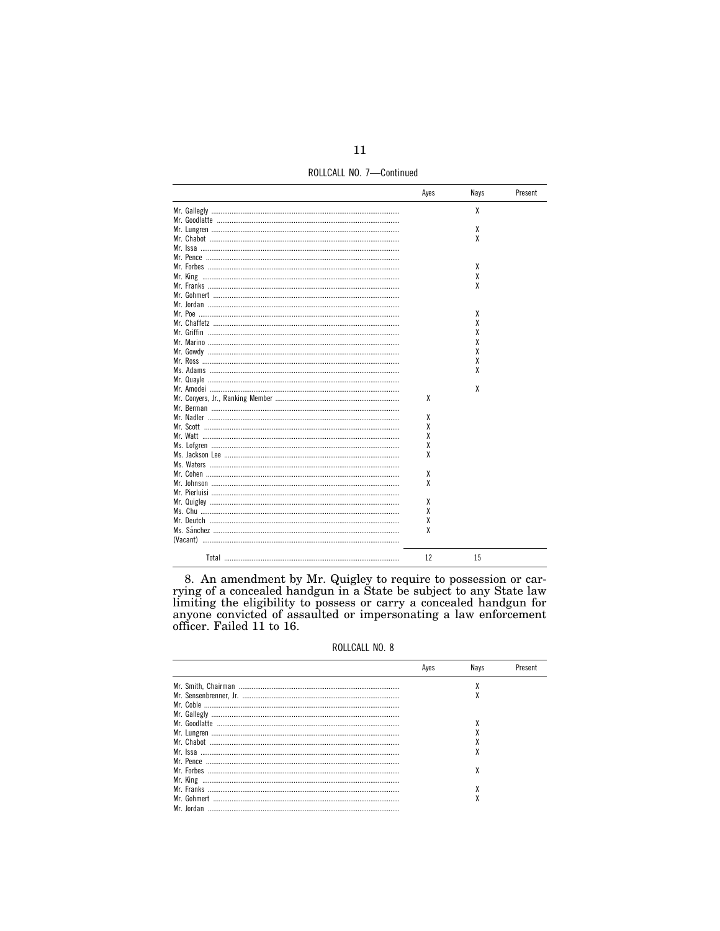ROLLCALL NO. 7-Continued

|                                                | Ayes | Nays | Present |
|------------------------------------------------|------|------|---------|
|                                                |      | x    |         |
|                                                |      |      |         |
|                                                |      | χ    |         |
|                                                |      | χ    |         |
|                                                |      |      |         |
|                                                |      |      |         |
|                                                |      | χ    |         |
|                                                |      | χ    |         |
| Mr. Franks …………………………………………………………………………………………… |      | χ    |         |
|                                                |      |      |         |
|                                                |      |      |         |
|                                                |      | χ    |         |
|                                                |      | χ    |         |
|                                                |      | χ    |         |
|                                                |      | χ    |         |
|                                                |      | χ    |         |
|                                                |      |      |         |
|                                                |      | χ    |         |
|                                                |      | χ    |         |
|                                                |      |      |         |
|                                                |      | χ    |         |
|                                                | X    |      |         |
|                                                |      |      |         |
|                                                | X    |      |         |
|                                                | χ    |      |         |
|                                                | χ    |      |         |
|                                                | χ    |      |         |
|                                                | χ    |      |         |
|                                                |      |      |         |
|                                                | χ    |      |         |
|                                                | X    |      |         |
|                                                |      |      |         |
|                                                | χ    |      |         |
|                                                | X    |      |         |
|                                                | χ    |      |         |
|                                                | X    |      |         |
| (Vacant) …………………………………………………………………………………………    |      |      |         |
|                                                |      |      |         |
| Total ………………………………………………………………………………           | 12   | 15   |         |

8. An amendment by Mr. Quigley to require to possession or carrying of a concealed handgun in a State be subject to any State law limiting the eligibility to possess or carry a concealed handgun for anyone convicted of as

ROLLCALL NO. 8

| Aves | Navs | Present |
|------|------|---------|
|      |      |         |
|      | Λ    |         |
|      |      |         |
|      |      |         |
|      |      |         |
|      |      |         |
|      |      |         |
|      | ۸    |         |
|      |      |         |
|      | χ    |         |
|      |      |         |
|      |      |         |
|      | λ    |         |
|      |      |         |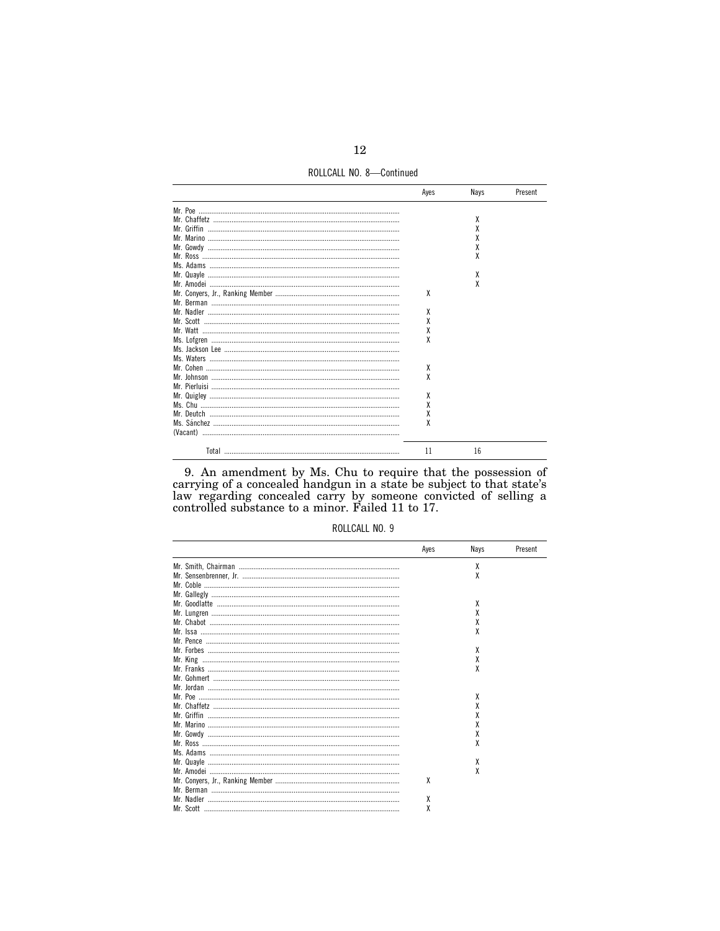ROLLCALL NO. 8-Continued

|                                              | Aves | Navs | Present |
|----------------------------------------------|------|------|---------|
|                                              |      |      |         |
|                                              |      | χ    |         |
|                                              |      | χ    |         |
|                                              |      | χ    |         |
|                                              |      | χ    |         |
|                                              |      |      |         |
|                                              |      |      |         |
|                                              |      | χ    |         |
|                                              |      | X    |         |
|                                              | χ    |      |         |
|                                              |      |      |         |
|                                              | χ    |      |         |
|                                              | X    |      |         |
|                                              | χ    |      |         |
|                                              | X    |      |         |
|                                              |      |      |         |
|                                              |      |      |         |
|                                              | χ    |      |         |
|                                              | X    |      |         |
|                                              |      |      |         |
|                                              | χ    |      |         |
|                                              | X    |      |         |
|                                              | X    |      |         |
|                                              | X    |      |         |
| (Vacant) …………………………………………………………………………………………… |      |      |         |
|                                              | 11   | 16   |         |

9. An amendment by Ms. Chu to require that the possession of carrying of a concealed handgun in a state be subject to that state's law regarding concealed carry by someone convicted of selling a controlled substance to a

| ROLLCALL NO. 9 |  |
|----------------|--|
|                |  |

| Aves | Nays | Present |
|------|------|---------|
|      | x    |         |
|      | χ    |         |
|      |      |         |
|      |      |         |
|      | x    |         |
|      | χ    |         |
|      |      |         |
|      |      |         |
|      |      |         |
|      | χ    |         |
|      | χ    |         |
|      |      |         |
|      |      |         |
|      |      |         |
|      | x    |         |
|      | χ    |         |
|      | χ    |         |
|      | χ    |         |
|      | x    |         |
|      | χ    |         |
|      |      |         |
|      | χ    |         |
|      | χ    |         |
| χ    |      |         |
|      |      |         |
|      |      |         |
| χ    |      |         |
| χ    |      |         |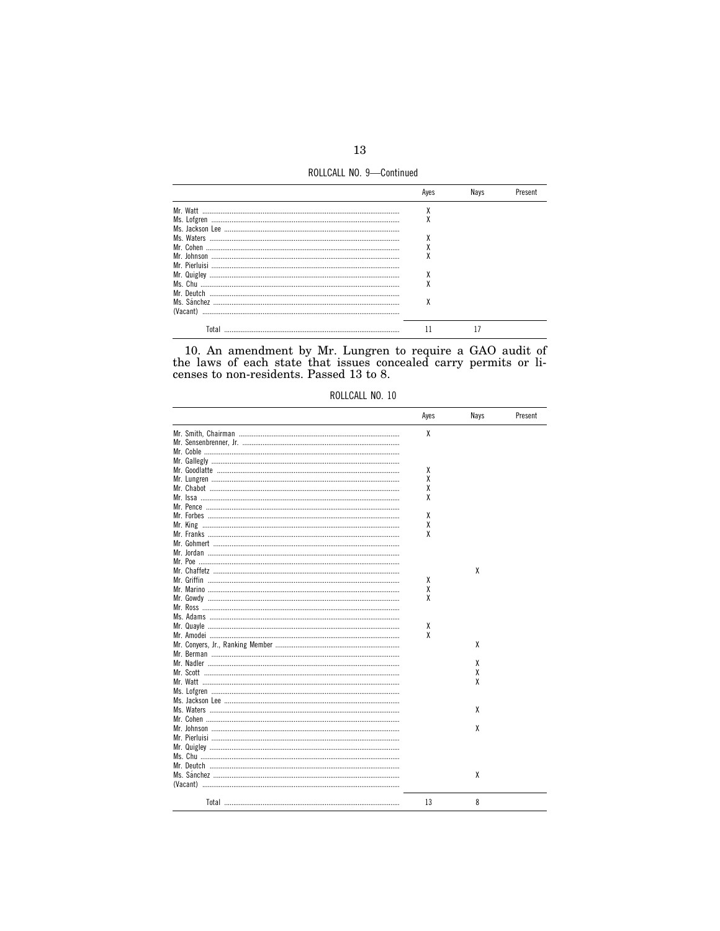ROLLCALL NO. 9-Continued

|                                                                                                                                                                                                                                                                                                                                                                                                        | ٨ |  |
|--------------------------------------------------------------------------------------------------------------------------------------------------------------------------------------------------------------------------------------------------------------------------------------------------------------------------------------------------------------------------------------------------------|---|--|
|                                                                                                                                                                                                                                                                                                                                                                                                        |   |  |
|                                                                                                                                                                                                                                                                                                                                                                                                        |   |  |
|                                                                                                                                                                                                                                                                                                                                                                                                        |   |  |
|                                                                                                                                                                                                                                                                                                                                                                                                        | ۸ |  |
|                                                                                                                                                                                                                                                                                                                                                                                                        |   |  |
|                                                                                                                                                                                                                                                                                                                                                                                                        |   |  |
| $\begin{minipage}{.4\linewidth} \textbf{Ms.} \textbf{ Chu} \textcolor{red}{.} \textbf{} \textbf{} \textbf{} \textbf{} \textbf{} \textbf{} \textbf{} \textbf{} \textbf{} \textbf{} \textbf{} \textbf{} \textbf{} \textbf{} \textbf{} \textbf{} \textbf{} \textbf{} \textbf{} \textbf{} \textbf{} \textbf{} \textbf{} \textbf{} \textbf{} \textbf{} \textbf{} \textbf{} \textbf{} \textbf{} \textbf{} \$ | ٨ |  |
|                                                                                                                                                                                                                                                                                                                                                                                                        |   |  |
|                                                                                                                                                                                                                                                                                                                                                                                                        | χ |  |
| (Vacant)                                                                                                                                                                                                                                                                                                                                                                                               |   |  |
| Total                                                                                                                                                                                                                                                                                                                                                                                                  |   |  |

10. An amendment by Mr. Lungren to require a GAO audit of the laws of each state that issues concealed carry permits or licenses to non-residents. Passed  $13$  to  $8$ .

| ROLLCALL NO. 10 |  |  |
|-----------------|--|--|
|-----------------|--|--|

| Ayes | Nays | Present |
|------|------|---------|
| X    |      |         |
|      |      |         |
|      |      |         |
|      |      |         |
| χ    |      |         |
| X    |      |         |
| X    |      |         |
| χ    |      |         |
|      |      |         |
| χ    |      |         |
| χ    |      |         |
| χ    |      |         |
|      |      |         |
|      |      |         |
|      |      |         |
|      | χ    |         |
| χ    |      |         |
| χ    |      |         |
| χ    |      |         |
|      |      |         |
|      |      |         |
| χ    |      |         |
| χ    |      |         |
|      | x    |         |
|      |      |         |
|      | χ    |         |
|      |      |         |
|      | χ    |         |
|      | χ    |         |
|      |      |         |
|      |      |         |
|      | χ    |         |
|      |      |         |
|      | χ    |         |
|      |      |         |
|      |      |         |
|      |      |         |
|      |      |         |
|      | χ    |         |
|      |      |         |
| 13   | 8    |         |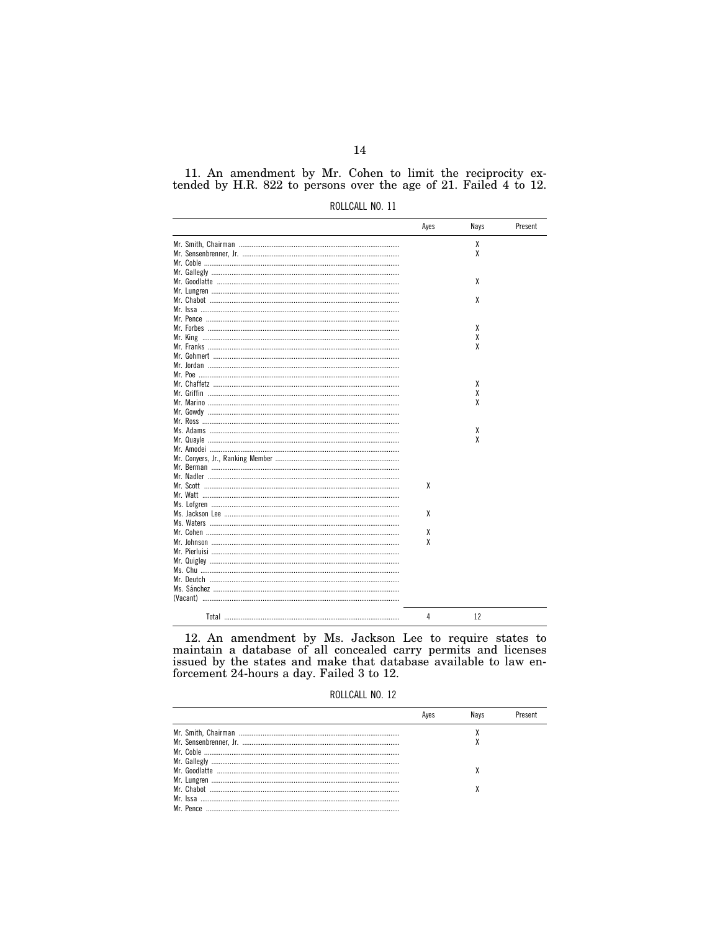11. An amendment by Mr. Cohen to limit the reciprocity extended by H.R. 822 to persons over the age of 21. Failed 4 to 12.

| ROLLCALL NO. 11 |  |
|-----------------|--|
|                 |  |

|                                               | Ayes | Nays | Present |
|-----------------------------------------------|------|------|---------|
|                                               |      | χ    |         |
|                                               |      | χ    |         |
|                                               |      |      |         |
|                                               |      |      |         |
|                                               |      | χ    |         |
|                                               |      |      |         |
|                                               |      | χ    |         |
|                                               |      |      |         |
|                                               |      |      |         |
|                                               |      | X    |         |
|                                               |      | χ    |         |
|                                               |      | χ    |         |
|                                               |      |      |         |
|                                               |      |      |         |
|                                               |      |      |         |
|                                               |      | χ    |         |
|                                               |      | χ    |         |
|                                               |      | χ    |         |
| Mr. Gowdy …………………………………………………………………………………………… |      |      |         |
|                                               |      |      |         |
|                                               |      | χ    |         |
|                                               |      | χ    |         |
|                                               |      |      |         |
|                                               |      |      |         |
|                                               |      |      |         |
|                                               |      |      |         |
|                                               | χ    |      |         |
|                                               |      |      |         |
|                                               |      |      |         |
|                                               | χ    |      |         |
|                                               |      |      |         |
|                                               | χ    |      |         |
|                                               | χ    |      |         |
|                                               |      |      |         |
|                                               |      |      |         |
|                                               |      |      |         |
|                                               |      |      |         |
|                                               |      |      |         |
|                                               |      |      |         |
|                                               |      |      |         |
| Total ………………………………………………………………………………          | 4    | 12   |         |

12. An amendment by Ms. Jackson Lee to require states to maintain a database of all concealed carry permits and licenses issued by the states and make that database available to law enforcement 24-hours a day. Failed 3 to 12.

| ROLLCALL NO. 12 |  |  |
|-----------------|--|--|
|-----------------|--|--|

|  | <b>Navs</b> | Present |
|--|-------------|---------|
|  |             |         |
|  |             |         |
|  |             |         |
|  |             |         |
|  |             |         |
|  |             |         |
|  |             |         |
|  |             |         |
|  |             |         |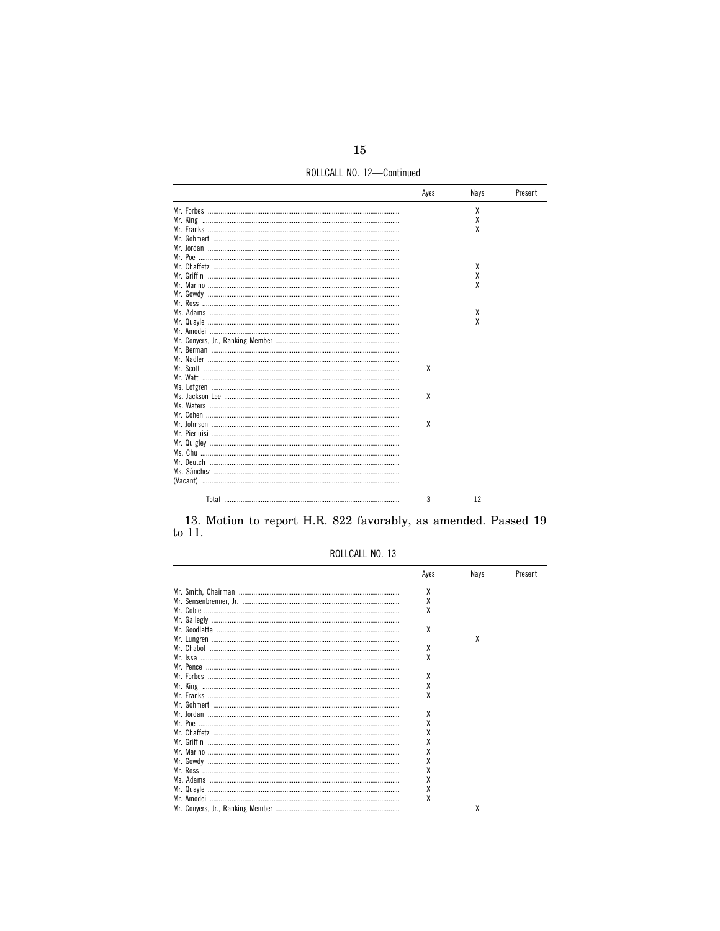ROLLCALL NO. 12-Continued

| Ayes | Nays | Present |
|------|------|---------|
|      | χ    |         |
|      | χ    |         |
|      | χ    |         |
|      |      |         |
|      |      |         |
|      |      |         |
|      | χ    |         |
|      | χ    |         |
|      | χ    |         |
|      |      |         |
|      |      |         |
|      | х    |         |
|      | χ    |         |
|      |      |         |
|      |      |         |
|      |      |         |
|      |      |         |
| X    |      |         |
|      |      |         |
|      |      |         |
| X    |      |         |
|      |      |         |
|      |      |         |
| X    |      |         |
|      |      |         |
|      |      |         |
|      |      |         |
|      |      |         |
|      |      |         |
|      |      |         |
|      |      |         |
| 3    | 12   |         |

13. Motion to report H.R. 822 favorably, as amended. Passed 19 to  $11. \,$ 

# ROLLCALL NO. 13

| Ayes | Nays | Present |
|------|------|---------|
| χ    |      |         |
| X    |      |         |
| χ    |      |         |
|      |      |         |
| χ    |      |         |
|      | χ    |         |
| χ    |      |         |
| χ    |      |         |
|      |      |         |
| χ    |      |         |
| X    |      |         |
| χ    |      |         |
|      |      |         |
| χ    |      |         |
| χ    |      |         |
|      |      |         |
|      |      |         |
|      |      |         |
|      |      |         |
|      |      |         |
| χ    |      |         |
|      |      |         |
| χ    |      |         |
| χ    |      |         |
|      | χ    |         |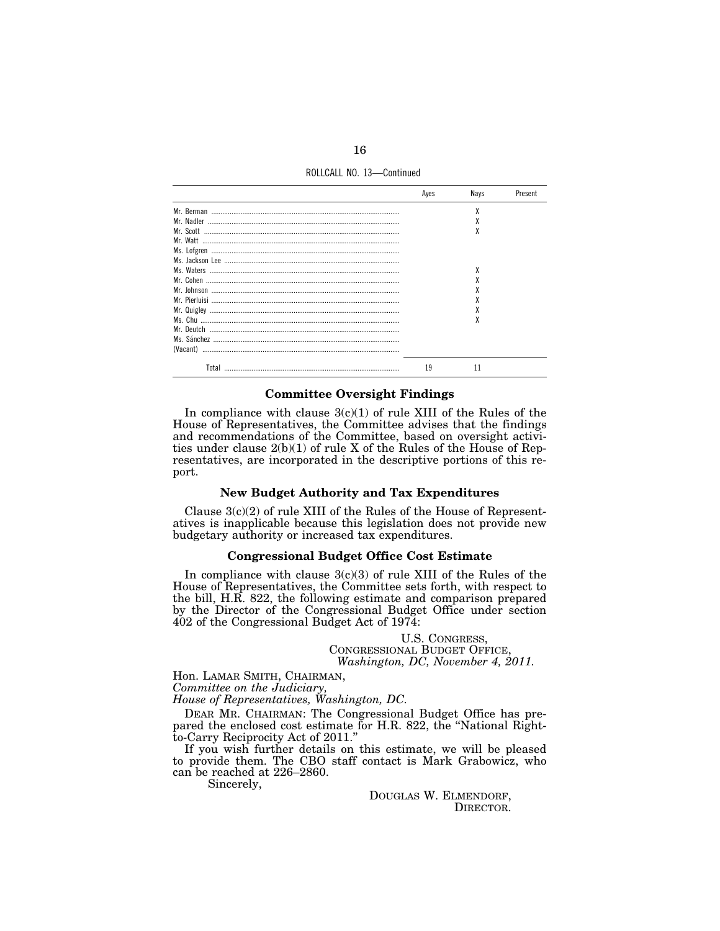ROLLCALL NO. 13-Continued

|       | Aves | Navs      | Present |
|-------|------|-----------|---------|
|       |      | χ         |         |
|       |      |           |         |
|       |      | л         |         |
|       |      |           |         |
|       |      |           |         |
|       |      |           |         |
|       |      |           |         |
|       |      |           |         |
|       |      |           |         |
|       |      |           |         |
|       |      |           |         |
|       |      | $\lambda$ |         |
|       |      |           |         |
|       |      |           |         |
|       |      |           |         |
| Total | 19   |           |         |

### **Committee Oversight Findings**

In compliance with clause  $3(c)(1)$  of rule XIII of the Rules of the House of Representatives, the Committee advises that the findings and recommendations of the Committee, based on oversight activities under clause  $2(b)(1)$  of rule X of the Rules of the House of Representatives, are incorporated in the descriptive portions of this report.

## **New Budget Authority and Tax Expenditures**

Clause  $3(c)(2)$  of rule XIII of the Rules of the House of Representatives is inapplicable because this legislation does not provide new budgetary authority or increased tax expenditures.

## **Congressional Budget Office Cost Estimate**

In compliance with clause  $3(c)(3)$  of rule XIII of the Rules of the House of Representatives, the Committee sets forth, with respect to the bill, H.R. 822, the following estimate and comparison prepared by the Director of the Congressional Budget Office under section  $402$  of the Congressional Budget Act of 1974:

> U.S. CONGRESS, CONGRESSIONAL BUDGET OFFICE, Washington, DC, November 4, 2011.

Hon. LAMAR SMITH, CHAIRMAN, Committee on the Judiciary,

House of Representatives, Washington, DC.

DEAR MR. CHAIRMAN: The Congressional Budget Office has prepared the enclosed cost estimate for H.R. 822, the "National Rightto-Carry Reciprocity Act of 2011."

If you wish further details on this estimate, we will be pleased to provide them. The CBO staff contact is Mark Grabowicz, who can be reached at 226–2860.

Sincerely,

DOUGLAS W. ELMENDORF, DIRECTOR.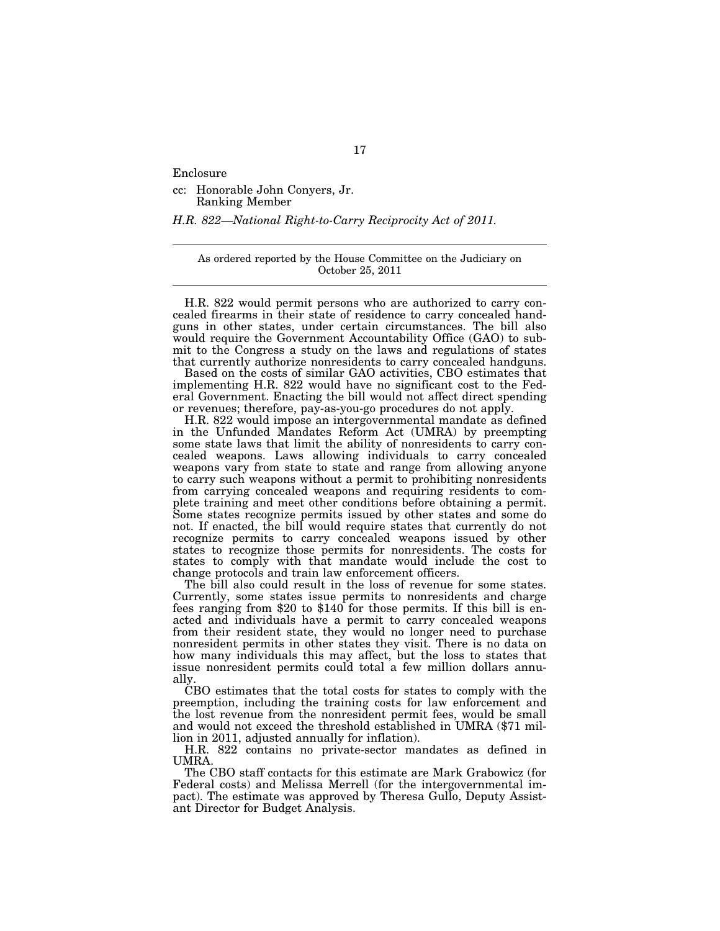Enclosure

cc: Honorable John Conyers, Jr. Ranking Member

*H.R. 822—National Right-to-Carry Reciprocity Act of 2011.* 

As ordered reported by the House Committee on the Judiciary on October 25, 2011

H.R. 822 would permit persons who are authorized to carry concealed firearms in their state of residence to carry concealed handguns in other states, under certain circumstances. The bill also would require the Government Accountability Office (GAO) to submit to the Congress a study on the laws and regulations of states that currently authorize nonresidents to carry concealed handguns.

Based on the costs of similar GAO activities, CBO estimates that implementing H.R. 822 would have no significant cost to the Federal Government. Enacting the bill would not affect direct spending or revenues; therefore, pay-as-you-go procedures do not apply.

H.R. 822 would impose an intergovernmental mandate as defined in the Unfunded Mandates Reform Act (UMRA) by preempting some state laws that limit the ability of nonresidents to carry concealed weapons. Laws allowing individuals to carry concealed weapons vary from state to state and range from allowing anyone to carry such weapons without a permit to prohibiting nonresidents from carrying concealed weapons and requiring residents to complete training and meet other conditions before obtaining a permit. Some states recognize permits issued by other states and some do not. If enacted, the bill would require states that currently do not recognize permits to carry concealed weapons issued by other states to recognize those permits for nonresidents. The costs for states to comply with that mandate would include the cost to change protocols and train law enforcement officers.

The bill also could result in the loss of revenue for some states. Currently, some states issue permits to nonresidents and charge fees ranging from \$20 to \$140 for those permits. If this bill is enacted and individuals have a permit to carry concealed weapons from their resident state, they would no longer need to purchase nonresident permits in other states they visit. There is no data on how many individuals this may affect, but the loss to states that issue nonresident permits could total a few million dollars annually.

CBO estimates that the total costs for states to comply with the preemption, including the training costs for law enforcement and the lost revenue from the nonresident permit fees, would be small and would not exceed the threshold established in UMRA (\$71 million in 2011, adjusted annually for inflation).

H.R. 822 contains no private-sector mandates as defined in **UMRA** 

The CBO staff contacts for this estimate are Mark Grabowicz (for Federal costs) and Melissa Merrell (for the intergovernmental impact). The estimate was approved by Theresa Gullo, Deputy Assistant Director for Budget Analysis.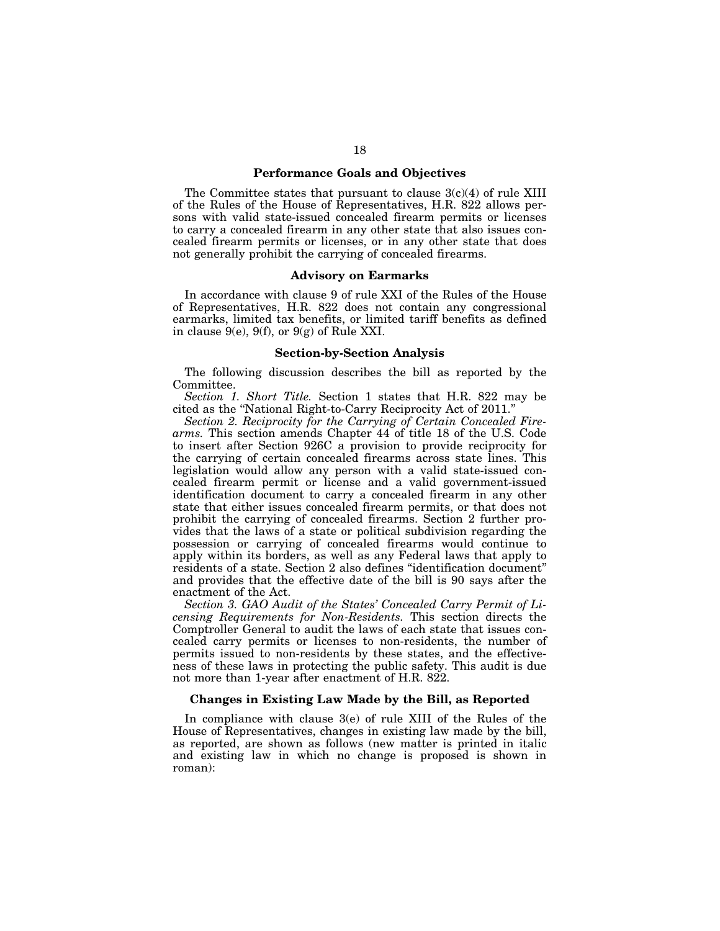### **Performance Goals and Objectives**

The Committee states that pursuant to clause 3(c)(4) of rule XIII of the Rules of the House of Representatives, H.R. 822 allows persons with valid state-issued concealed firearm permits or licenses to carry a concealed firearm in any other state that also issues concealed firearm permits or licenses, or in any other state that does not generally prohibit the carrying of concealed firearms.

### **Advisory on Earmarks**

In accordance with clause 9 of rule XXI of the Rules of the House of Representatives, H.R. 822 does not contain any congressional earmarks, limited tax benefits, or limited tariff benefits as defined in clause  $9(e)$ ,  $9(f)$ , or  $9(g)$  of Rule XXI.

#### **Section-by-Section Analysis**

The following discussion describes the bill as reported by the Committee.

*Section 1. Short Title.* Section 1 states that H.R. 822 may be cited as the ''National Right-to-Carry Reciprocity Act of 2011.''

*Section 2. Reciprocity for the Carrying of Certain Concealed Firearms.* This section amends Chapter 44 of title 18 of the U.S. Code to insert after Section 926C a provision to provide reciprocity for the carrying of certain concealed firearms across state lines. This legislation would allow any person with a valid state-issued concealed firearm permit or license and a valid government-issued identification document to carry a concealed firearm in any other state that either issues concealed firearm permits, or that does not prohibit the carrying of concealed firearms. Section 2 further provides that the laws of a state or political subdivision regarding the possession or carrying of concealed firearms would continue to apply within its borders, as well as any Federal laws that apply to residents of a state. Section 2 also defines ''identification document'' and provides that the effective date of the bill is 90 says after the enactment of the Act.

*Section 3. GAO Audit of the States' Concealed Carry Permit of Licensing Requirements for Non-Residents.* This section directs the Comptroller General to audit the laws of each state that issues concealed carry permits or licenses to non-residents, the number of permits issued to non-residents by these states, and the effectiveness of these laws in protecting the public safety. This audit is due not more than 1-year after enactment of H.R. 822.

### **Changes in Existing Law Made by the Bill, as Reported**

In compliance with clause 3(e) of rule XIII of the Rules of the House of Representatives, changes in existing law made by the bill, as reported, are shown as follows (new matter is printed in italic and existing law in which no change is proposed is shown in roman):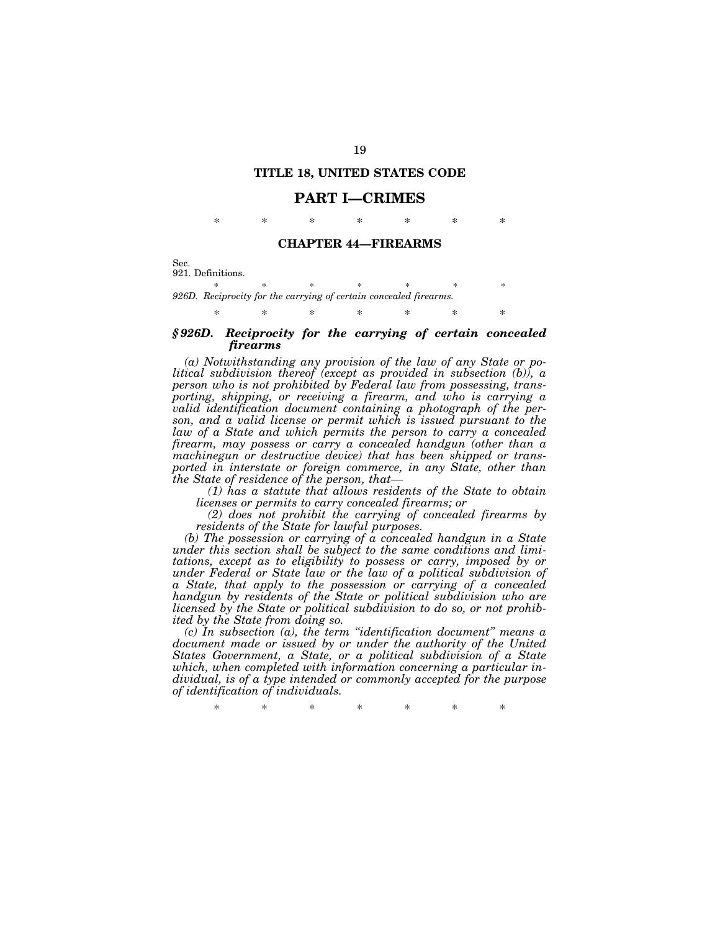### **TITLE 18, UNITED STATES CODE**

### **PART I—CRIMES**

\* \* \* \* \* \* \*

### **CHAPTER 44—FIREARMS**

Sec. 921. Definitions.

\* \* \* \* \* \* \* \* *926D. Reciprocity for the carrying of certain concealed firearms.* 

## \* \* \* \* \* \* \* *§ 926D. Reciprocity for the carrying of certain concealed firearms*

*(a) Notwithstanding any provision of the law of any State or political subdivision thereof (except as provided in subsection (b)), a person who is not prohibited by Federal law from possessing, transporting, shipping, or receiving a firearm, and who is carrying a valid identification document containing a photograph of the person, and a valid license or permit which is issued pursuant to the law of a State and which permits the person to carry a concealed firearm, may possess or carry a concealed handgun (other than a machinegun or destructive device) that has been shipped or transported in interstate or foreign commerce, in any State, other than the State of residence of the person, that—* 

*(1) has a statute that allows residents of the State to obtain licenses or permits to carry concealed firearms; or* 

*(2) does not prohibit the carrying of concealed firearms by residents of the State for lawful purposes.* 

*(b) The possession or carrying of a concealed handgun in a State under this section shall be subject to the same conditions and limitations, except as to eligibility to possess or carry, imposed by or under Federal or State law or the law of a political subdivision of a State, that apply to the possession or carrying of a concealed handgun by residents of the State or political subdivision who are licensed by the State or political subdivision to do so, or not prohibited by the State from doing so.* 

*(c) In subsection (a), the term ''identification document'' means a*  document made or issued by or under the authority of the United *States Government, a State, or a political subdivision of a State which, when completed with information concerning a particular individual, is of a type intended or commonly accepted for the purpose of identification of individuals.* 

\* \* \* \* \* \* \*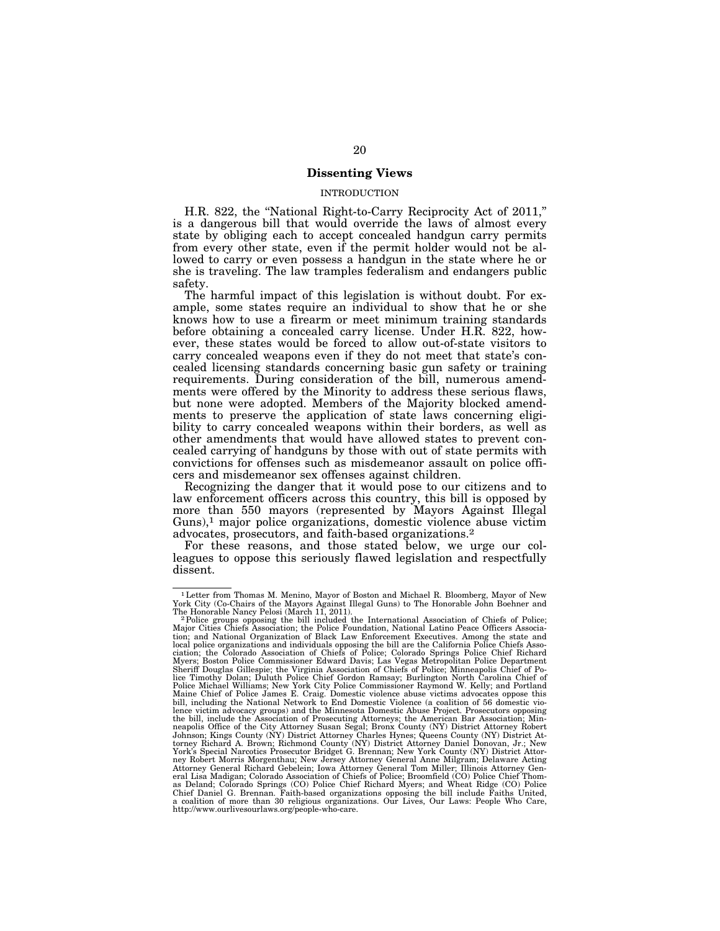## **Dissenting Views**

## INTRODUCTION

H.R. 822, the "National Right-to-Carry Reciprocity Act of 2011," is a dangerous bill that would override the laws of almost every state by obliging each to accept concealed handgun carry permits from every other state, even if the permit holder would not be allowed to carry or even possess a handgun in the state where he or she is traveling. The law tramples federalism and endangers public safety.

The harmful impact of this legislation is without doubt. For example, some states require an individual to show that he or she knows how to use a firearm or meet minimum training standards before obtaining a concealed carry license. Under H.R. 822, however, these states would be forced to allow out-of-state visitors to carry concealed weapons even if they do not meet that state's concealed licensing standards concerning basic gun safety or training requirements. During consideration of the bill, numerous amendments were offered by the Minority to address these serious flaws, but none were adopted. Members of the Majority blocked amendments to preserve the application of state laws concerning eligibility to carry concealed weapons within their borders, as well as other amendments that would have allowed states to prevent concealed carrying of handguns by those with out of state permits with convictions for offenses such as misdemeanor assault on police officers and misdemeanor sex offenses against children.

Recognizing the danger that it would pose to our citizens and to law enforcement officers across this country, this bill is opposed by more than 550 mayors (represented by Mayors Against Illegal Guns),<sup>1</sup> major police organizations, domestic violence abuse victim advocates, prosecutors, and faith-based organizations.2

For these reasons, and those stated below, we urge our colleagues to oppose this seriously flawed legislation and respectfully dissent.

<sup>1</sup>Letter from Thomas M. Menino, Mayor of Boston and Michael R. Bloomberg, Mayor of New York City (Co-Chairs of the Mayors Against Illegal Guns) to The Honorable John Boehner and

<sup>&</sup>lt;sup>2</sup>Police groups opposing the bill included the International Association of Chiefs of Police; Major Cities Chiefs Association; the Police Foundation, National Latino Peace Officers Associa-tion; and National Organization of Black Law Enforcement Executives. Among the state and local police organizations and individuals opposing the bill are the California Police Chiefs Asso-<br>ciation; the Colorado Association of Chiefs of Police; Colorado Springs Police Chief Richard<br>Myers; Boston Police Commissi Sheriff Douglas Gillespie; the Virginia Association of Chiefs of Police; Minneapolis Chief of Po-<br>lice Timothy Dolan; Duluth Police Chief Gordon Ramsay; Burlington North Carolina Chief of<br>Police Michael Williams; New York Maine Chief of Police James E. Craig. Domestic violence abuse victims advocates oppose this<br>bill, including the National Network to End Domestic Violence (a coalition of 56 domestic vio-<br>lence victim advocacy groups) and t the bill, include the Association of Prosecuting Attorneys; the American Bar Association; Min-<br>neapolis Office of the City Attorney Susan Segal; Bronx County (NY) District Attorney Robert<br>Johnson; Kings County (NY) Distric torney Richard A. Brown; Richmond County (NY) District Attorney Daniel Donovan, Jr.; New<br>York's Special Narcotics Prosecutor Bridget G. Brennan; New York County (NY) District Attor-<br>ney Robert Morris Morgenthau; New Jersey Attorney General Richard Gebelein; Iowa Attorney General Tom Miller; Illinois Attorney Gen-<br>eral Lisa Madigan; Colorado Association of Chiefs of Police; Broomfield (CO) Police Chief Thom-<br>as Deland; Colorado Springs (CO) P Chief Daniel G. Brennan. Faith-based organizations opposing the bill include Faiths United, a coalition of more than 30 religious organizations. Our Lives, Our Laws: People Who Care, http://www.ourlivesourlaws.org/people-who-care.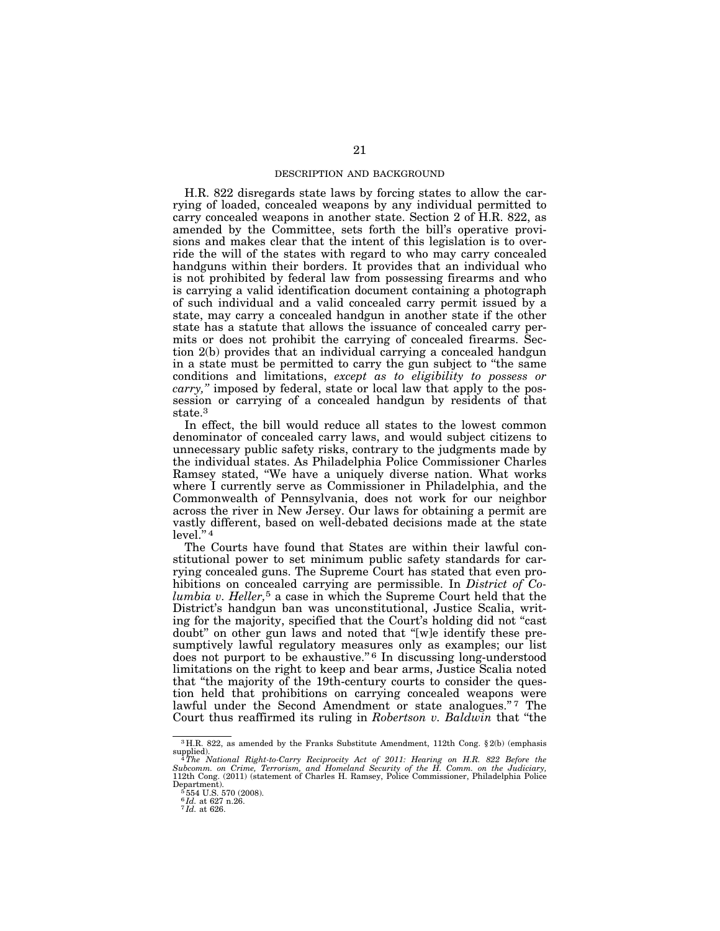### DESCRIPTION AND BACKGROUND

H.R. 822 disregards state laws by forcing states to allow the carrying of loaded, concealed weapons by any individual permitted to carry concealed weapons in another state. Section 2 of H.R. 822, as amended by the Committee, sets forth the bill's operative provisions and makes clear that the intent of this legislation is to override the will of the states with regard to who may carry concealed handguns within their borders. It provides that an individual who is not prohibited by federal law from possessing firearms and who is carrying a valid identification document containing a photograph of such individual and a valid concealed carry permit issued by a state, may carry a concealed handgun in another state if the other state has a statute that allows the issuance of concealed carry permits or does not prohibit the carrying of concealed firearms. Section 2(b) provides that an individual carrying a concealed handgun in a state must be permitted to carry the gun subject to ''the same conditions and limitations, *except as to eligibility to possess or carry,''* imposed by federal, state or local law that apply to the possession or carrying of a concealed handgun by residents of that state.<sup>3</sup>

In effect, the bill would reduce all states to the lowest common denominator of concealed carry laws, and would subject citizens to unnecessary public safety risks, contrary to the judgments made by the individual states. As Philadelphia Police Commissioner Charles Ramsey stated, ''We have a uniquely diverse nation. What works where I currently serve as Commissioner in Philadelphia, and the Commonwealth of Pennsylvania, does not work for our neighbor across the river in New Jersey. Our laws for obtaining a permit are vastly different, based on well-debated decisions made at the state level.'' 4

The Courts have found that States are within their lawful constitutional power to set minimum public safety standards for carrying concealed guns. The Supreme Court has stated that even prohibitions on concealed carrying are permissible. In *District of Columbia v. Heller,*5 a case in which the Supreme Court held that the District's handgun ban was unconstitutional, Justice Scalia, writing for the majority, specified that the Court's holding did not ''cast doubt'' on other gun laws and noted that ''[w]e identify these presumptively lawful regulatory measures only as examples; our list does not purport to be exhaustive."<sup>6</sup> In discussing long-understood limitations on the right to keep and bear arms, Justice Scalia noted that ''the majority of the 19th-century courts to consider the question held that prohibitions on carrying concealed weapons were lawful under the Second Amendment or state analogues."7 The Court thus reaffirmed its ruling in *Robertson v. Baldwin* that ''the

<sup>3</sup> H.R. 822, as amended by the Franks Substitute Amendment, 112th Cong. § 2(b) (emphasis

supplied).<br><sup>4</sup> The National Right-to-Carry Reciprocity Act of 2011: Hearing on H.R. 822 Before the<br>Subcomm. on Crime, Terrorism, and Homeland Security of the H. Comm. on the Judiciary,<br>112th Cong. (2011) (statement of Char Department). 5 554 U.S. 570 (2008).

<sup>6</sup> *Id.* at 627 n.26. 7 *Id.* at 626.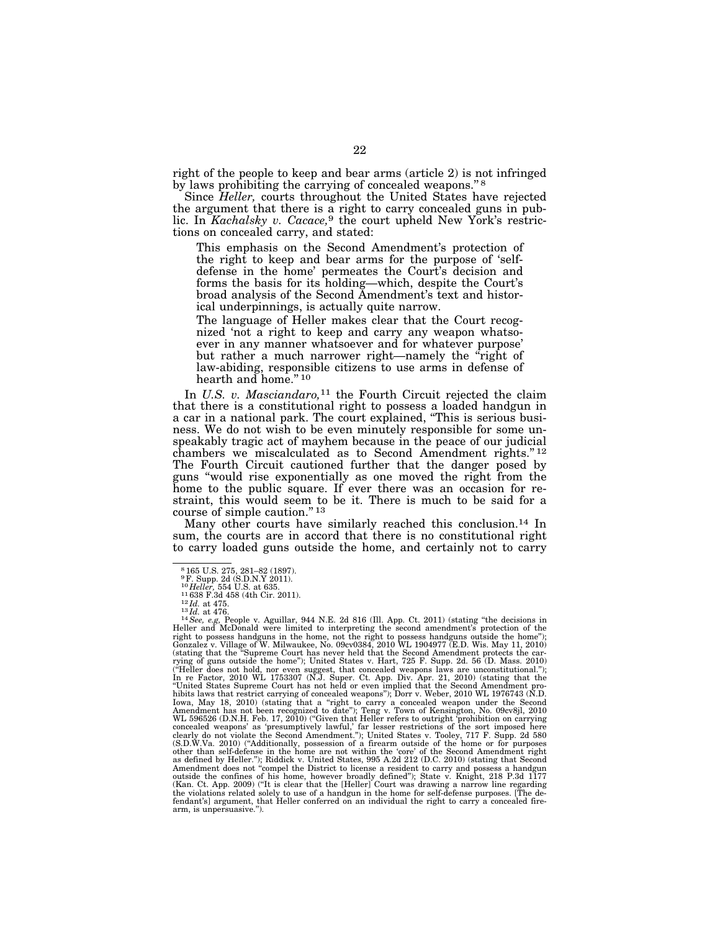right of the people to keep and bear arms (article 2) is not infringed by laws prohibiting the carrying of concealed weapons."<sup>8</sup>

Since *Heller,* courts throughout the United States have rejected the argument that there is a right to carry concealed guns in public. In *Kachalsky v. Cacace,*9 the court upheld New York's restrictions on concealed carry, and stated:

This emphasis on the Second Amendment's protection of the right to keep and bear arms for the purpose of 'selfdefense in the home' permeates the Court's decision and forms the basis for its holding—which, despite the Court's broad analysis of the Second Amendment's text and historical underpinnings, is actually quite narrow.

The language of Heller makes clear that the Court recognized 'not a right to keep and carry any weapon whatsoever in any manner whatsoever and for whatever purpose' but rather a much narrower right—namely the "right of law-abiding, responsible citizens to use arms in defense of hearth and home."<sup>10</sup>

In *U.S. v. Masciandaro,*11 the Fourth Circuit rejected the claim that there is a constitutional right to possess a loaded handgun in a car in a national park. The court explained, ''This is serious business. We do not wish to be even minutely responsible for some unspeakably tragic act of mayhem because in the peace of our judicial chambers we miscalculated as to Second Amendment rights."<sup>12</sup> The Fourth Circuit cautioned further that the danger posed by guns ''would rise exponentially as one moved the right from the home to the public square. If ever there was an occasion for restraint, this would seem to be it. There is much to be said for a course of simple caution."<sup>13</sup>

Many other courts have similarly reached this conclusion.<sup>14</sup> In sum, the courts are in accord that there is no constitutional right to carry loaded guns outside the home, and certainly not to carry

<sup>8</sup> 165 U.S. 275, 281–82 (1897).

 $^{9}$ F. Supp. 2d (S.D.N.Y 2011).<br><sup>10</sup> Heller, 554 U.S. at 635.

<sup>&</sup>lt;sup>10</sup>Heller, 554 U.S. at 635.<br>
<sup>11</sup>638 F.3d 458 (4th Cir. 2011).<br>
<sup>12</sup>H. at 475.<br>
<sup>13</sup>H. at 476.<br>
<sup>13</sup>H. at 476.<br>
<sup>14</sup>See, e.g, People v. Aguillar, 944 N.E. 2d 816 (Ill. App. Ct. 2011) (stating "the decisions in<br>
right to (stating that the ''Supreme Court has never held that the Second Amendment protects the car-rying of guns outside the home''); United States v. Hart, 725 F. Supp. 2d. 56 (D. Mass. 2010) ("Heller does not hold, nor even suggest, that concealed weapons laws are unconstitutional.");<br>In re Factor, 2010 WL 1753307 (N.J. Super. Ct. App. Div. Apr. 21, 2010) (stating that the<br>"United States Supreme Court has not hibits laws that restrict carrying of concealed weapons"); Dorr v. Weber, 2010 WL 1976743 (N.D.<br>Iowa, May 18, 2010) (stating that a "right to carry a concealed weapon under the Second CMA Amendment has not been recognized fendant's] argument, that Heller conferred on an individual the right to carry a concealed fire-arm, is unpersuasive.'').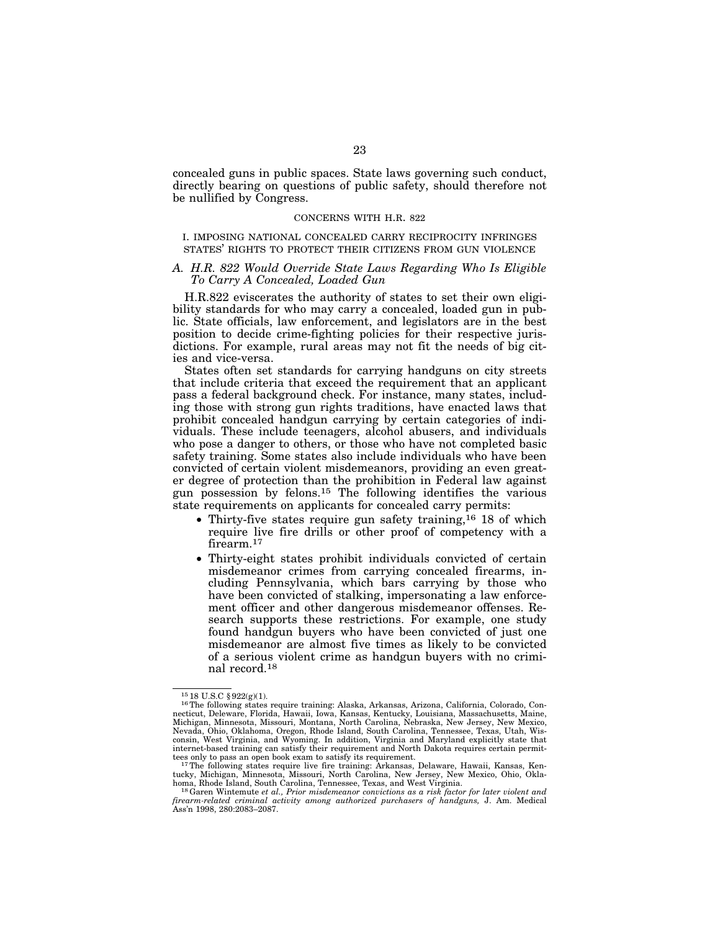concealed guns in public spaces. State laws governing such conduct, directly bearing on questions of public safety, should therefore not be nullified by Congress.

### CONCERNS WITH H.R. 822

I. IMPOSING NATIONAL CONCEALED CARRY RECIPROCITY INFRINGES STATES' RIGHTS TO PROTECT THEIR CITIZENS FROM GUN VIOLENCE

#### *A. H.R. 822 Would Override State Laws Regarding Who Is Eligible To Carry A Concealed, Loaded Gun*

H.R.822 eviscerates the authority of states to set their own eligibility standards for who may carry a concealed, loaded gun in public. State officials, law enforcement, and legislators are in the best position to decide crime-fighting policies for their respective jurisdictions. For example, rural areas may not fit the needs of big cities and vice-versa.

States often set standards for carrying handguns on city streets that include criteria that exceed the requirement that an applicant pass a federal background check. For instance, many states, including those with strong gun rights traditions, have enacted laws that prohibit concealed handgun carrying by certain categories of individuals. These include teenagers, alcohol abusers, and individuals who pose a danger to others, or those who have not completed basic safety training. Some states also include individuals who have been convicted of certain violent misdemeanors, providing an even greater degree of protection than the prohibition in Federal law against gun possession by felons.15 The following identifies the various state requirements on applicants for concealed carry permits:

- Thirty-five states require gun safety training,  $16 \text{ } 18 \text{ }$  of which require live fire drills or other proof of competency with a firearm.<sup>17</sup>
- Thirty-eight states prohibit individuals convicted of certain misdemeanor crimes from carrying concealed firearms, including Pennsylvania, which bars carrying by those who have been convicted of stalking, impersonating a law enforcement officer and other dangerous misdemeanor offenses. Research supports these restrictions. For example, one study found handgun buyers who have been convicted of just one misdemeanor are almost five times as likely to be convicted of a serious violent crime as handgun buyers with no criminal record.18

<sup>15</sup> 18 U.S.C § 922(g)(1). 16The following states require training: Alaska, Arkansas, Arizona, California, Colorado, Connecticut, Deleware, Florida, Hawaii, Iowa, Kansas, Kentucky, Louisiana, Massachusetts, Maine,<br>Michigan, Minnesota, Missouri, Montana, North Carolina, Nebraska, New Jersey, New Mexico, Nevada, Ohio, Oklahoma, Oregon, Rhode Island, South Carolina, Tennessee, Texas, Utah, Wis-<br>consin, West Virginia, and Wyoming. In addition, Virginia and Maryland explicitly state that<br>internet-based training can satisfy th tees only to pass an open book exam to satisfy its requirement. 17The following states require live fire training: Arkansas, Delaware, Hawaii, Kansas, Ken-

tucky, Michigan, Minnesota, Missouri, North Carolina, New Jersey, New Mexico, Ohio, Oklahoma, Rhode Island, South Carolina, Tennessee, Texas, and West Virginia. 18Garen Wintemute *et al., Prior misdemeanor convictions as a risk factor for later violent and* 

*firearm-related criminal activity among authorized purchasers of handguns,* J. Am. Medical Ass'n 1998, 280:2083–2087.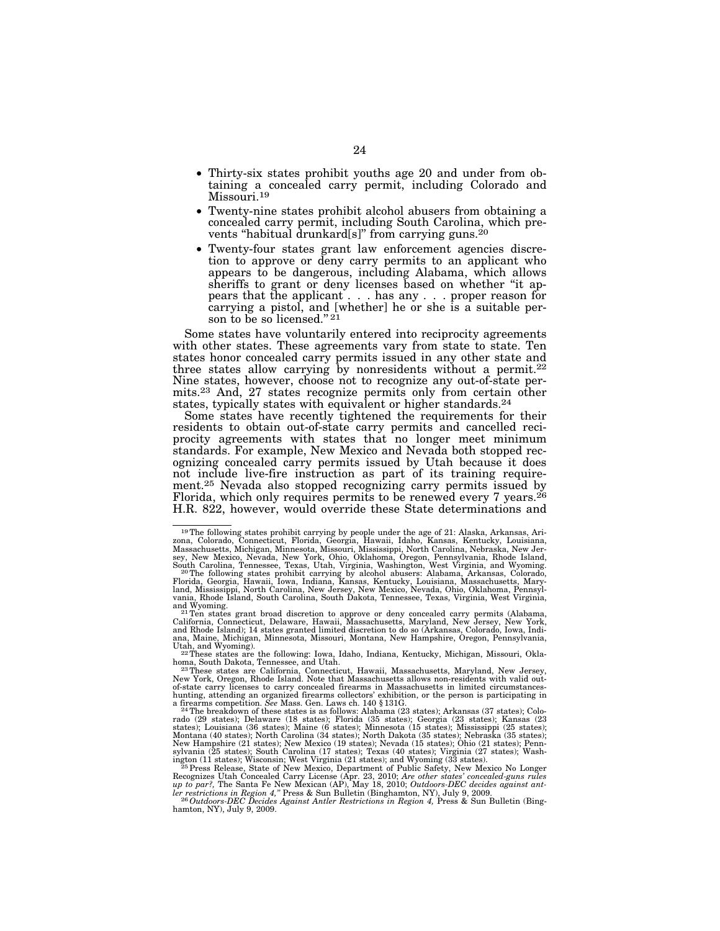- Thirty-six states prohibit youths age 20 and under from obtaining a concealed carry permit, including Colorado and Missouri.19
- Twenty-nine states prohibit alcohol abusers from obtaining a concealed carry permit, including South Carolina, which prevents "habitual drunkard[s]" from carrying guns.<sup>20</sup>
- Twenty-four states grant law enforcement agencies discretion to approve or deny carry permits to an applicant who appears to be dangerous, including Alabama, which allows sheriffs to grant or deny licenses based on whether ''it appears that the applicant . . . has any . . . proper reason for carrying a pistol, and [whether] he or she is a suitable person to be so licensed."<sup>21</sup>

Some states have voluntarily entered into reciprocity agreements with other states. These agreements vary from state to state. Ten states honor concealed carry permits issued in any other state and three states allow carrying by nonresidents without a permit.<sup>22</sup> Nine states, however, choose not to recognize any out-of-state permits.23 And, 27 states recognize permits only from certain other states, typically states with equivalent or higher standards.<sup>24</sup>

Some states have recently tightened the requirements for their residents to obtain out-of-state carry permits and cancelled reciprocity agreements with states that no longer meet minimum standards. For example, New Mexico and Nevada both stopped recognizing concealed carry permits issued by Utah because it does not include live-fire instruction as part of its training requirement.25 Nevada also stopped recognizing carry permits issued by Florida, which only requires permits to be renewed every  $7$  years.<sup>26</sup> H.R. 822, however, would override these State determinations and

<sup>19</sup>The following states prohibit carrying by people under the age of 21: Alaska, Arkansas, Ari-

zona, Colorado, Connecticut, Florida, Georgia, Hawaii, Idaho, Kansas, Kentucky, Louisiana, Massachusetts, Michigan, Mimesota, Missouri, Mississippi, North Carolina, Nebraska, New Mexico, New Jerem, Sey, New Mexico, Newale,

California, Connecticut, Delaware, Hawaii, Massachusetts, Maryland, New Jersey, New York, and Rhode Island); 14 states granted limited discretion to do so (Arkansas, Colorado, Iowa, Indiana, Maine, Michigan, Minnesota, Missouri, Montana, New Hampshire, Oregon, Pennsylvania,

<sup>&</sup>lt;sup>22</sup>These states are the following: Iowa, Idaho, Indiana, Kentucky, Michigan, Missouri, Okla-

homa, South Dakota, Tennessee, and Utah.<br><sup>23</sup> These states are California, Connecticut, Hawaii, Massachusetts, Maryland, New Jersey,<br>New York, Oregon, Rhode Island. Note that Massachusetts allows non-residents with valid o

a firearms competition. See Mass. Gen. Laws ch. 140 § 131G.<br><sup>24</sup>The breakdown of these states is as follows: Alabama (23 states); Arkansas (37 states); Colo-<br>rado (29 states); Delaware (18 states); Florida (35 states); Geo New Hampshire (21 states); New Mexico (19 states); Nevada (15 states); Ohio (21 states); Penn-<br>sylvania (25 states); South Carolina (17 states); Texas (40 states); Virginia (27 states); Wash-<br>ington (11 states); Wisconsin;

Recognizes Utah Concealed Carry License (Apr. 23, 2010; *Are other states' concealed-guns rules up to par?,* The Santa Fe New Mexican (AP), May 18, 2010; *Outdoors-DEC decides against ant-*

*ler restrictions in Region 4,"* Press & Sun Bulletin (Binghamton, NY), July 9, 2009.<br><sup>26</sup>*Outdoors-DEC Decides Against Antler Restrictions in Region 4*, Press & Sun Bulletin (Bing-<br><sup>26</sup>*Outdoors-DEC Decides Against Antler* hamton, NY), July 9, 2009.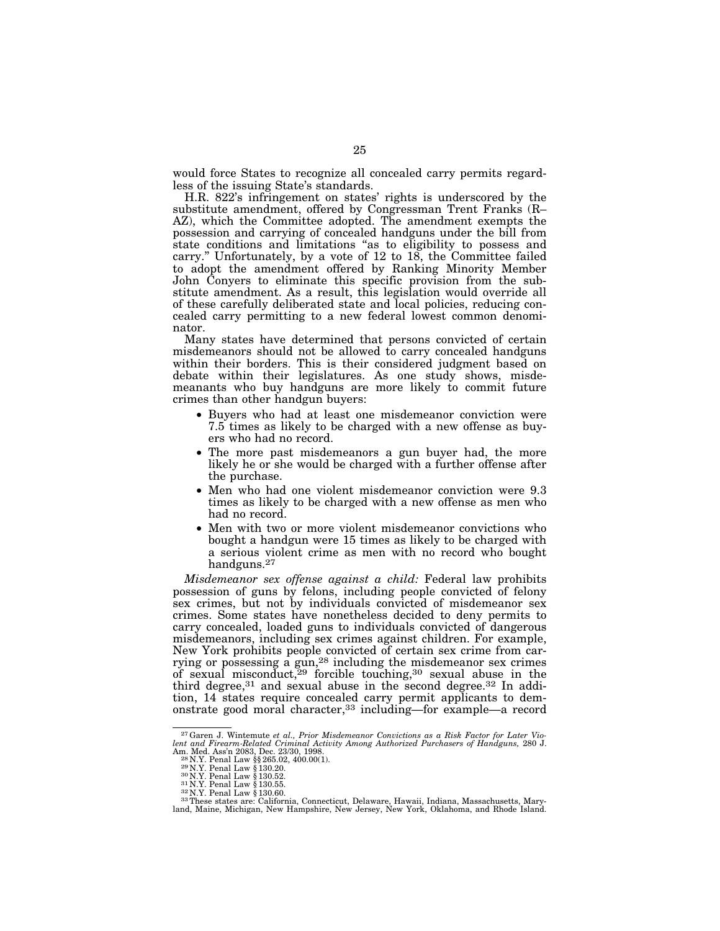would force States to recognize all concealed carry permits regardless of the issuing State's standards.

H.R. 822's infringement on states' rights is underscored by the substitute amendment, offered by Congressman Trent Franks (R– AZ), which the Committee adopted. The amendment exempts the possession and carrying of concealed handguns under the bill from state conditions and limitations "as to eligibility to possess and carry.'' Unfortunately, by a vote of 12 to 18, the Committee failed to adopt the amendment offered by Ranking Minority Member John Conyers to eliminate this specific provision from the substitute amendment. As a result, this legislation would override all of these carefully deliberated state and local policies, reducing concealed carry permitting to a new federal lowest common denominator.

Many states have determined that persons convicted of certain misdemeanors should not be allowed to carry concealed handguns within their borders. This is their considered judgment based on debate within their legislatures. As one study shows, misdemeanants who buy handguns are more likely to commit future crimes than other handgun buyers:

- Buyers who had at least one misdemeanor conviction were 7.5 times as likely to be charged with a new offense as buyers who had no record.
- The more past misdemeanors a gun buyer had, the more likely he or she would be charged with a further offense after the purchase.
- Men who had one violent misdemeanor conviction were 9.3 times as likely to be charged with a new offense as men who had no record.
- Men with two or more violent misdemeanor convictions who bought a handgun were 15 times as likely to be charged with a serious violent crime as men with no record who bought handguns.27

*Misdemeanor sex offense against a child:* Federal law prohibits possession of guns by felons, including people convicted of felony sex crimes, but not by individuals convicted of misdemeanor sex crimes. Some states have nonetheless decided to deny permits to carry concealed, loaded guns to individuals convicted of dangerous misdemeanors, including sex crimes against children. For example, New York prohibits people convicted of certain sex crime from carrying or possessing a gun,28 including the misdemeanor sex crimes of sexual misconduct,  $29$  forcible touching,  $30$  sexual abuse in the third degree,  $31$  and sexual abuse in the second degree.  $32$  In addition, 14 states require concealed carry permit applicants to demonstrate good moral character,33 including—for example—a record

<sup>27</sup>Garen J. Wintemute *et al., Prior Misdemeanor Convictions as a Risk Factor for Later Vio*lent and Firearm-Related Criminal Activity Among Authorized Purchasers of Handguns, 280 J.<br>Am. Med. Ass'n 2083, Dec. 23/30, 1998.<br><sup>28</sup> N.Y. Penal Law §§ 265.02, 400.00(1).<br><sup>29</sup> N.Y. Penal Law § 130.20.<br><sup>30</sup> N.Y. Penal Law

land, Maine, Michigan, New Hampshire, New Jersey, New York, Oklahoma, and Rhode Island.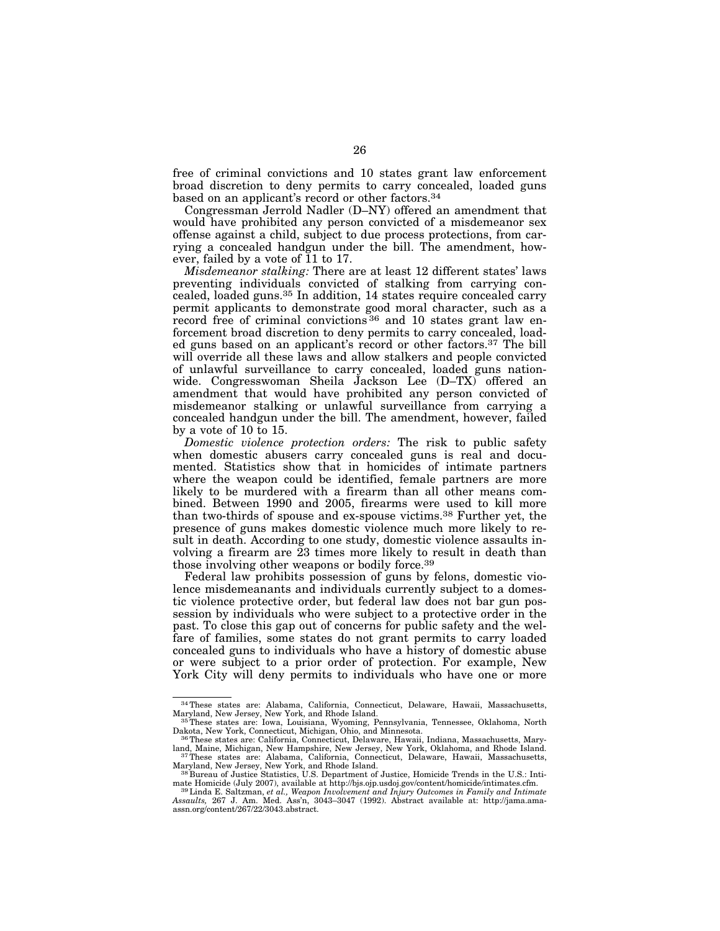free of criminal convictions and 10 states grant law enforcement broad discretion to deny permits to carry concealed, loaded guns based on an applicant's record or other factors.34

Congressman Jerrold Nadler (D–NY) offered an amendment that would have prohibited any person convicted of a misdemeanor sex offense against a child, subject to due process protections, from carrying a concealed handgun under the bill. The amendment, however, failed by a vote of 11 to 17.

*Misdemeanor stalking:* There are at least 12 different states' laws preventing individuals convicted of stalking from carrying concealed, loaded guns.35 In addition, 14 states require concealed carry permit applicants to demonstrate good moral character, such as a record free of criminal convictions <sup>36</sup> and 10 states grant law enforcement broad discretion to deny permits to carry concealed, loaded guns based on an applicant's record or other factors.37 The bill will override all these laws and allow stalkers and people convicted of unlawful surveillance to carry concealed, loaded guns nationwide. Congresswoman Sheila Jackson Lee (D–TX) offered an amendment that would have prohibited any person convicted of misdemeanor stalking or unlawful surveillance from carrying a concealed handgun under the bill. The amendment, however, failed by a vote of 10 to 15.

*Domestic violence protection orders:* The risk to public safety when domestic abusers carry concealed guns is real and documented. Statistics show that in homicides of intimate partners where the weapon could be identified, female partners are more likely to be murdered with a firearm than all other means combined. Between 1990 and 2005, firearms were used to kill more than two-thirds of spouse and ex-spouse victims.38 Further yet, the presence of guns makes domestic violence much more likely to result in death. According to one study, domestic violence assaults involving a firearm are 23 times more likely to result in death than those involving other weapons or bodily force.39

Federal law prohibits possession of guns by felons, domestic violence misdemeanants and individuals currently subject to a domestic violence protective order, but federal law does not bar gun possession by individuals who were subject to a protective order in the past. To close this gap out of concerns for public safety and the welfare of families, some states do not grant permits to carry loaded concealed guns to individuals who have a history of domestic abuse or were subject to a prior order of protection. For example, New York City will deny permits to individuals who have one or more

<sup>&</sup>lt;sup>34</sup>These states are: Alabama, California, Connecticut, Delaware, Hawaii, Massachusetts, Maryland, New Jersey, New York, and Rhode Island.

<sup>35</sup>These states are: Iowa, Louisiana, Wyoming, Pennsylvania, Tennessee, Oklahoma, North Dakota, New York, Connecticut, Michigan, Ohio, and Minnesota. Dakota, New York, Connecticut, Michigan, Ohio, and Minnesota.<br><sup>36</sup>These states are: California, Connecticut, Delaware, Hawaii, Indiana, Massachusetts, Mary-

land, Maine, Michigan, New Hampshire, New Jersey, New York, Oklahoma, and Rhode Island.<br><sup>37</sup>These states are: Alabama, California, Connecticut, Delaware, Hawaii, Massachusetts,

Maryland, New Jersey, New York, and Rhode Island. 38 Bureau of Justice Statistics, U.S. Department of Justice, Homicide Trends in the U.S.: Intimate Homicide (July 2007), available at http://bjs.ojp.usdoj.gov/content/homicide/intimates.cfm. 39Linda E. Saltzman, *et al., Weapon Involvement and Injury Outcomes in Family and Intimate* 

*Assaults,* 267 J. Am. Med. Ass'n, 3043–3047 (1992). Abstract available at: http://jama.amaassn.org/content/267/22/3043.abstract.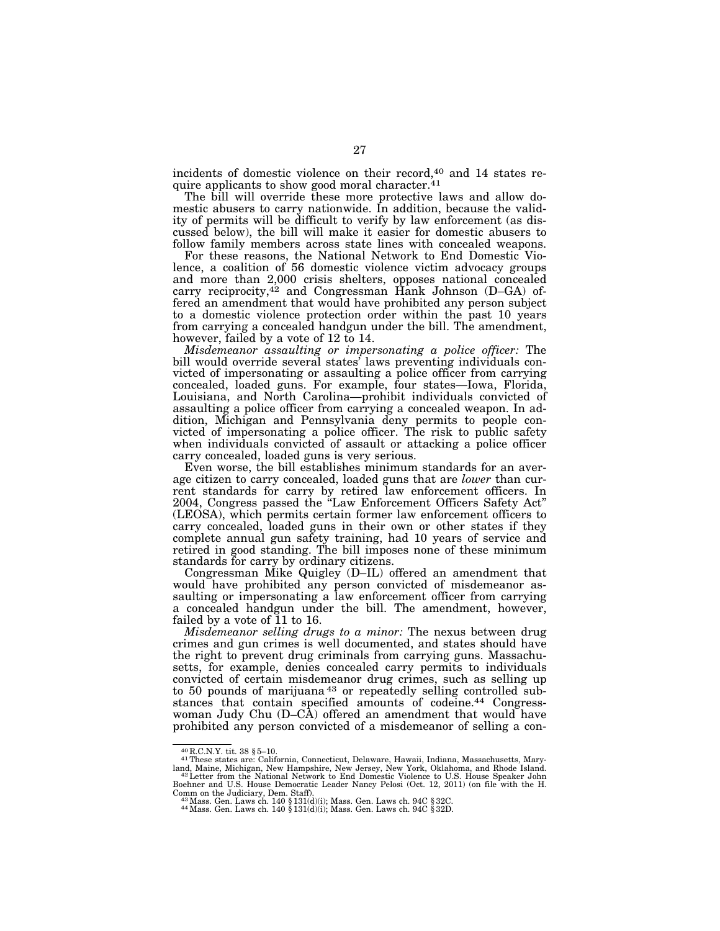incidents of domestic violence on their record,<sup>40</sup> and 14 states require applicants to show good moral character.41

The bill will override these more protective laws and allow domestic abusers to carry nationwide. In addition, because the validity of permits will be difficult to verify by law enforcement (as discussed below), the bill will make it easier for domestic abusers to follow family members across state lines with concealed weapons.

For these reasons, the National Network to End Domestic Violence, a coalition of 56 domestic violence victim advocacy groups and more than 2,000 crisis shelters, opposes national concealed carry reciprocity,<sup>42</sup> and Congressman Hank Johnson (D–GA) offered an amendment that would have prohibited any person subject to a domestic violence protection order within the past 10 years from carrying a concealed handgun under the bill. The amendment, however, failed by a vote of 12 to 14.

*Misdemeanor assaulting or impersonating a police officer:* The bill would override several states' laws preventing individuals convicted of impersonating or assaulting a police officer from carrying concealed, loaded guns. For example, four states—Iowa, Florida, Louisiana, and North Carolina—prohibit individuals convicted of assaulting a police officer from carrying a concealed weapon. In addition, Michigan and Pennsylvania deny permits to people convicted of impersonating a police officer. The risk to public safety when individuals convicted of assault or attacking a police officer carry concealed, loaded guns is very serious.

Even worse, the bill establishes minimum standards for an average citizen to carry concealed, loaded guns that are *lower* than current standards for carry by retired law enforcement officers. In 2004, Congress passed the ''Law Enforcement Officers Safety Act'' (LEOSA), which permits certain former law enforcement officers to carry concealed, loaded guns in their own or other states if they complete annual gun safety training, had 10 years of service and retired in good standing. The bill imposes none of these minimum standards for carry by ordinary citizens.

Congressman Mike Quigley (D–IL) offered an amendment that would have prohibited any person convicted of misdemeanor assaulting or impersonating a law enforcement officer from carrying a concealed handgun under the bill. The amendment, however, failed by a vote of 11 to 16.

*Misdemeanor selling drugs to a minor:* The nexus between drug crimes and gun crimes is well documented, and states should have the right to prevent drug criminals from carrying guns. Massachusetts, for example, denies concealed carry permits to individuals convicted of certain misdemeanor drug crimes, such as selling up to 50 pounds of marijuana 43 or repeatedly selling controlled substances that contain specified amounts of codeine.44 Congresswoman Judy Chu (D–CÀ) offered an amendment that would have prohibited any person convicted of a misdemeanor of selling a con-

<sup>40</sup> R.C.N.Y. tit. 38 § 5–10. 41These states are: California, Connecticut, Delaware, Hawaii, Indiana, Massachusetts, Maryland, Maine, Michigan, New Hampshire, New Jersey, New York, Oklahoma, and Rhode Island.<br>"<sup>42</sup>Letter from the National Network to End Domestic Violence to U.S. House Speaker John<br>Boehner and U.S. House Democratic Leader Nan Comm on the Judiciary, Dem. Staff).<br>  $^{43}$  Mass. Gen. Laws ch. 140 § 131(d)(i); Mass. Gen. Laws ch. 94C § 32C.<br>  $^{44}$  Mass. Gen. Laws ch. 140 § 131(d)(i); Mass. Gen. Laws ch. 94C § 32D.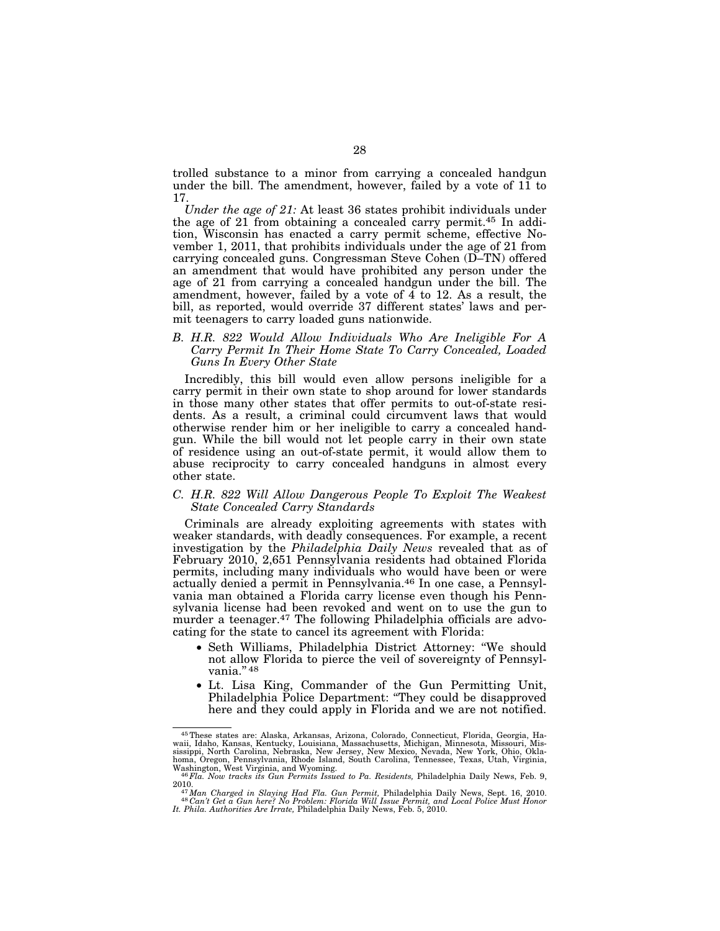trolled substance to a minor from carrying a concealed handgun under the bill. The amendment, however, failed by a vote of 11 to 17.

*Under the age of 21:* At least 36 states prohibit individuals under the age of 21 from obtaining a concealed carry permit.45 In addition, Wisconsin has enacted a carry permit scheme, effective November 1, 2011, that prohibits individuals under the age of 21 from carrying concealed guns. Congressman Steve Cohen (D–TN) offered an amendment that would have prohibited any person under the age of 21 from carrying a concealed handgun under the bill. The amendment, however, failed by a vote of 4 to 12. As a result, the bill, as reported, would override 37 different states' laws and permit teenagers to carry loaded guns nationwide.

### *B. H.R. 822 Would Allow Individuals Who Are Ineligible For A Carry Permit In Their Home State To Carry Concealed, Loaded Guns In Every Other State*

Incredibly, this bill would even allow persons ineligible for a carry permit in their own state to shop around for lower standards in those many other states that offer permits to out-of-state residents. As a result, a criminal could circumvent laws that would otherwise render him or her ineligible to carry a concealed handgun. While the bill would not let people carry in their own state of residence using an out-of-state permit, it would allow them to abuse reciprocity to carry concealed handguns in almost every other state.

### *C. H.R. 822 Will Allow Dangerous People To Exploit The Weakest State Concealed Carry Standards*

Criminals are already exploiting agreements with states with weaker standards, with deadly consequences. For example, a recent investigation by the *Philadelphia Daily News* revealed that as of February 2010, 2,651 Pennsylvania residents had obtained Florida permits, including many individuals who would have been or were actually denied a permit in Pennsylvania.46 In one case, a Pennsylvania man obtained a Florida carry license even though his Pennsylvania license had been revoked and went on to use the gun to murder a teenager.<sup>47</sup> The following Philadelphia officials are advocating for the state to cancel its agreement with Florida:

- Seth Williams, Philadelphia District Attorney: ''We should not allow Florida to pierce the veil of sovereignty of Pennsylvania." 48
- Lt. Lisa King, Commander of the Gun Permitting Unit, Philadelphia Police Department: ''They could be disapproved here and they could apply in Florida and we are not notified.

<sup>45</sup>These states are: Alaska, Arkansas, Arizona, Colorado, Connecticut, Florida, Georgia, Hawaii, Idaho, Kansas, Kentucky, Louisiana, Massachusetts, Michigan, Minnesota, Missouri, Mis-<br>sissippi, North Carolina, Nebraska, New Jersey, New Mexico, Nevada, New York, Ohio, Okla-<br>homa, Oregon, Pennsylvania, Rhode Islan Washington, West Virginia, and Wyoming. 46*Fla. Now tracks its Gun Permits Issued to Pa. Residents,* Philadelphia Daily News, Feb. 9,

<sup>2010.&</sup>lt;br><sup>47</sup> Man Charged in Slaying Had Fla. Gun Permit, Philadelphia Daily News, Sept. 16, 2010.<br>1<sup>48</sup> Can't Get a Gun here? No Problem: Florida Will Issue Permit, and Local Police Must Honor<br>1t. Phila. Authorities Are Irra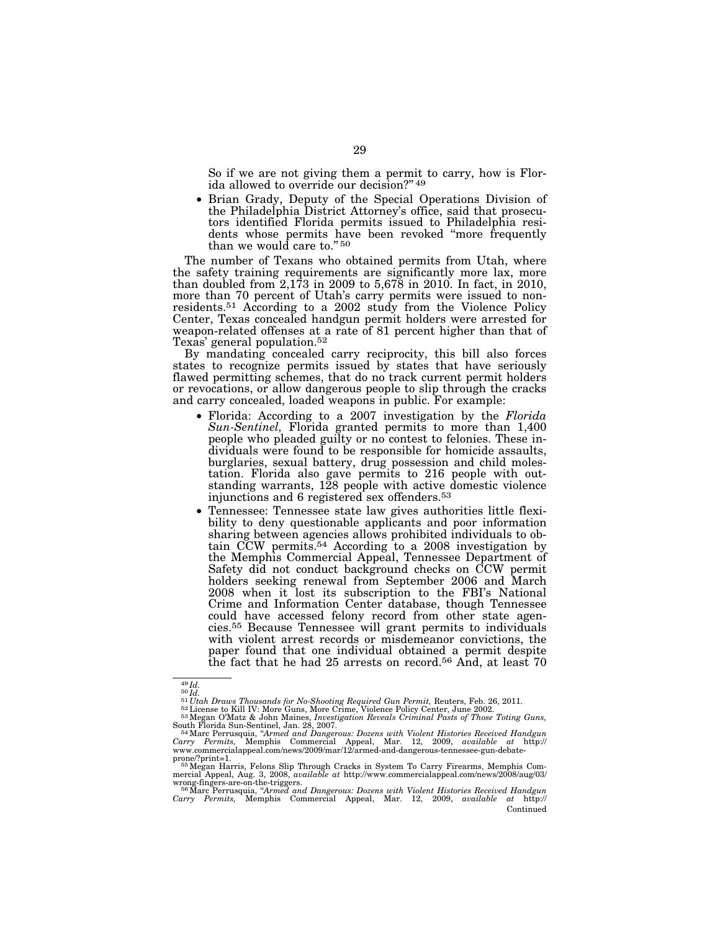So if we are not giving them a permit to carry, how is Florida allowed to override our decision?'' 49

• Brian Grady, Deputy of the Special Operations Division of the Philadelphia District Attorney's office, said that prosecutors identified Florida permits issued to Philadelphia residents whose permits have been revoked ''more frequently than we would care to."<sup>50</sup>

The number of Texans who obtained permits from Utah, where the safety training requirements are significantly more lax, more than doubled from 2,173 in 2009 to 5,678 in 2010. In fact, in 2010, more than 70 percent of Utah's carry permits were issued to nonresidents.51 According to a 2002 study from the Violence Policy Center, Texas concealed handgun permit holders were arrested for weapon-related offenses at a rate of 81 percent higher than that of Texas' general population.52

By mandating concealed carry reciprocity, this bill also forces states to recognize permits issued by states that have seriously flawed permitting schemes, that do no track current permit holders or revocations, or allow dangerous people to slip through the cracks and carry concealed, loaded weapons in public. For example:

- Florida: According to a 2007 investigation by the *Florida Sun-Sentinel,* Florida granted permits to more than 1,400 people who pleaded guilty or no contest to felonies. These individuals were found to be responsible for homicide assaults, burglaries, sexual battery, drug possession and child molestation. Florida also gave permits to 216 people with outstanding warrants, 128 people with active domestic violence injunctions and 6 registered sex offenders.53
- Tennessee: Tennessee state law gives authorities little flexibility to deny questionable applicants and poor information sharing between agencies allows prohibited individuals to obtain CCW permits.54 According to a 2008 investigation by the Memphis Commercial Appeal, Tennessee Department of Safety did not conduct background checks on CCW permit holders seeking renewal from September 2006 and March 2008 when it lost its subscription to the FBI's National Crime and Information Center database, though Tennessee could have accessed felony record from other state agencies.55 Because Tennessee will grant permits to individuals with violent arrest records or misdemeanor convictions, the paper found that one individual obtained a permit despite the fact that he had 25 arrests on record.<sup>56</sup> And, at least 70

<sup>&</sup>lt;sup>49</sup>Id.<br><sup>51</sup>Utah Draws Thousands for No-Shooting Required Gun Permit, Reuters, Feb. 26, 2011.<br><sup>52</sup> License to Kill IV: More Guns, More Crime, Violence Policy Center, June 2002.<br><sup>52</sup> License to Kill IV: More Guns, Investiga South Florida Sun-Sentinel, Jan. 28, 2007.<br><sup>54</sup>Marc Perrusquia, *"Armed and Dangerous: Dozens with Violent Histories Received Handgun* 

*Carry Permits,* Memphis Commercial Appeal, Mar. 12, 2009, *available at* http:// www.commercialappeal.com/news/2009/mar/12/armed-and-dangerous-tennessee-gun-debate-

prone/?print=1. 55 Megan Harris, Felons Slip Through Cracks in System To Carry Firearms, Memphis Commercial Appeal, Aug. 3, 2008, available at http://www.commercialappeal.com/news/2008/aug/03/<br>wrong-fingers-are-on-the-triggers.<br><sup>56</sup>Marc Perrusquia, "Ar*med and Dangerous: Dozens with Violent Histories Received Handgun<br>Car* 

Continued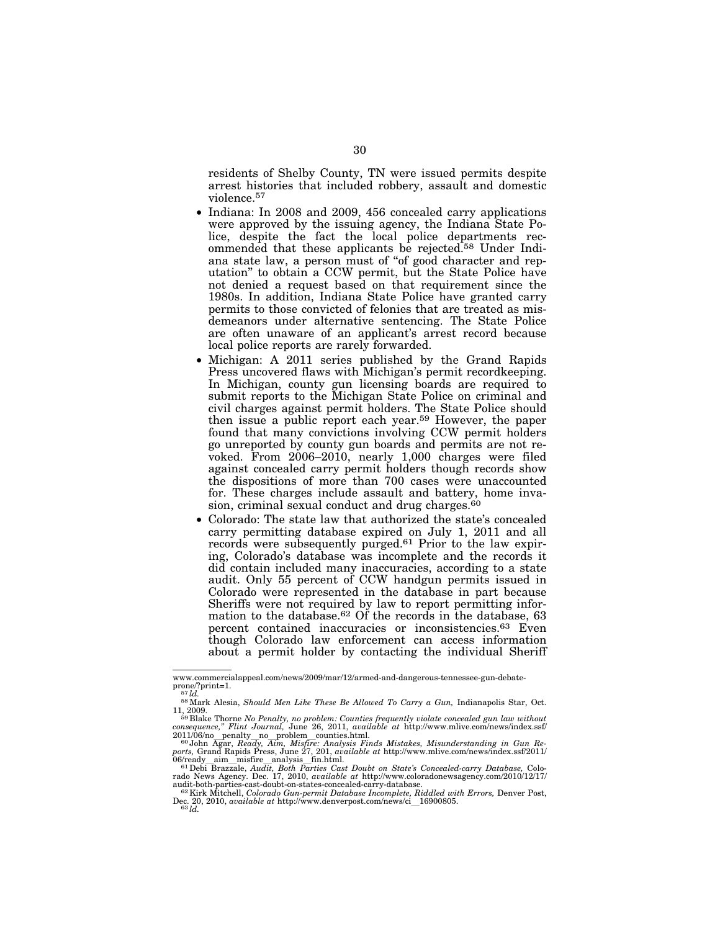residents of Shelby County, TN were issued permits despite arrest histories that included robbery, assault and domestic violence.57

- Indiana: In 2008 and 2009, 456 concealed carry applications were approved by the issuing agency, the Indiana State Police, despite the fact the local police departments recommended that these applicants be rejected.58 Under Indiana state law, a person must of ''of good character and reputation'' to obtain a CCW permit, but the State Police have not denied a request based on that requirement since the 1980s. In addition, Indiana State Police have granted carry permits to those convicted of felonies that are treated as misdemeanors under alternative sentencing. The State Police are often unaware of an applicant's arrest record because local police reports are rarely forwarded.
- Michigan: A 2011 series published by the Grand Rapids Press uncovered flaws with Michigan's permit recordkeeping. In Michigan, county gun licensing boards are required to submit reports to the Michigan State Police on criminal and civil charges against permit holders. The State Police should then issue a public report each year.59 However, the paper found that many convictions involving CCW permit holders go unreported by county gun boards and permits are not revoked. From 2006–2010, nearly 1,000 charges were filed against concealed carry permit holders though records show the dispositions of more than 700 cases were unaccounted for. These charges include assault and battery, home invasion, criminal sexual conduct and drug charges.<sup>60</sup>
- Colorado: The state law that authorized the state's concealed carry permitting database expired on July 1, 2011 and all records were subsequently purged.61 Prior to the law expiring, Colorado's database was incomplete and the records it did contain included many inaccuracies, according to a state audit. Only 55 percent of CCW handgun permits issued in Colorado were represented in the database in part because Sheriffs were not required by law to report permitting information to the database.<sup>62</sup> Of the records in the database, 63 percent contained inaccuracies or inconsistencies.63 Even though Colorado law enforcement can access information about a permit holder by contacting the individual Sheriff

www.commercialappeal.com/news/2009/mar/12/armed-and-dangerous-tennessee-gun-debate-

prone/?print=1. 57 *ld.* 58Mark Alesia, *Should Men Like These Be Allowed To Carry a Gun,* Indianapolis Star, Oct.

<sup>11, 2009.&</sup>lt;br><sup>59</sup> Blake Thorne No Penalty, no problem: Counties frequently violate concealed gun law without<br>consequence," Flint Journal, June 26, 2011, available at http://www.mlive.com/news/index.ssf/<br>2011/06/no\_penalty\_no

ports, Grand Rapids Press, June 27, 201, *available at* http://www.mlive.com/news/index.ssf/2011/06/ready aim \_misfire\_analysis\_fin.html.<br>  $6^{10}$ Pebi Brazzale, *Audit, Both Parties Cast Doubt on State's Concealed-carry D* 

<sup>&</sup>lt;sup>62</sup> Kirk Mitchell, *Colorado Gun-permit Database Incomplete*, *Riddled with Errors*, Denver Post, Dec. 20, 2010, *available at* http://www.denverpost.com/news/ci\_16900805.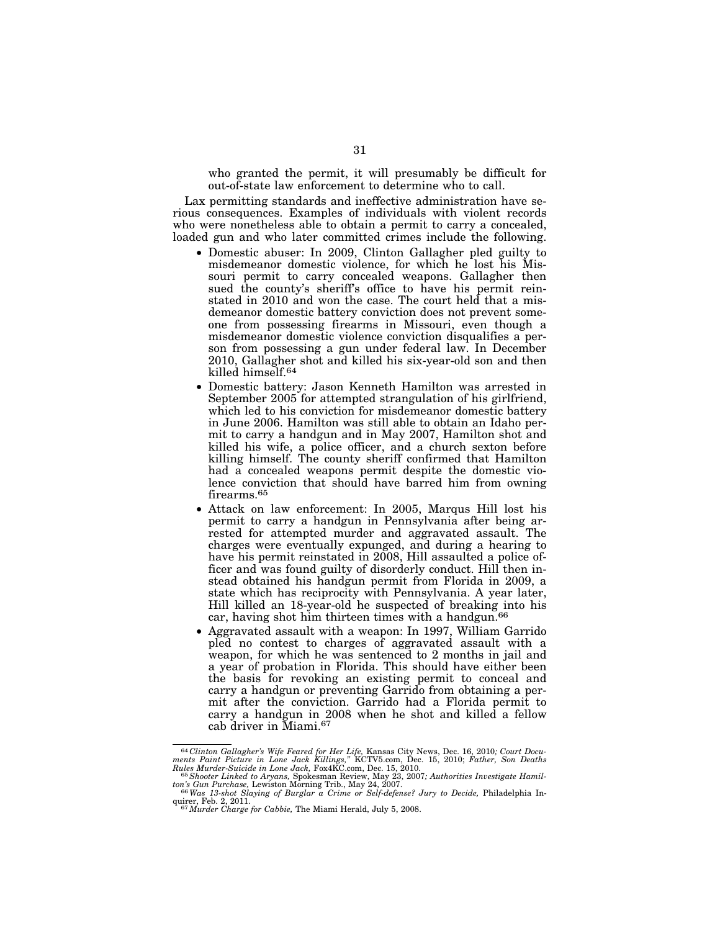who granted the permit, it will presumably be difficult for out-of-state law enforcement to determine who to call.

Lax permitting standards and ineffective administration have serious consequences. Examples of individuals with violent records who were nonetheless able to obtain a permit to carry a concealed, loaded gun and who later committed crimes include the following.

- Domestic abuser: In 2009, Clinton Gallagher pled guilty to misdemeanor domestic violence, for which he lost his Missouri permit to carry concealed weapons. Gallagher then sued the county's sheriff's office to have his permit reinstated in 2010 and won the case. The court held that a misdemeanor domestic battery conviction does not prevent someone from possessing firearms in Missouri, even though a misdemeanor domestic violence conviction disqualifies a person from possessing a gun under federal law. In December 2010, Gallagher shot and killed his six-year-old son and then killed himself.64
- Domestic battery: Jason Kenneth Hamilton was arrested in September 2005 for attempted strangulation of his girlfriend, which led to his conviction for misdemeanor domestic battery in June 2006. Hamilton was still able to obtain an Idaho permit to carry a handgun and in May 2007, Hamilton shot and killed his wife, a police officer, and a church sexton before killing himself. The county sheriff confirmed that Hamilton had a concealed weapons permit despite the domestic violence conviction that should have barred him from owning firearms.65
- Attack on law enforcement: In 2005, Marqus Hill lost his permit to carry a handgun in Pennsylvania after being arrested for attempted murder and aggravated assault. The charges were eventually expunged, and during a hearing to have his permit reinstated in 2008, Hill assaulted a police officer and was found guilty of disorderly conduct. Hill then instead obtained his handgun permit from Florida in 2009, a state which has reciprocity with Pennsylvania. A year later, Hill killed an 18-year-old he suspected of breaking into his car, having shot him thirteen times with a handgun.66
- Aggravated assault with a weapon: In 1997, William Garrido pled no contest to charges of aggravated assault with a weapon, for which he was sentenced to 2 months in jail and a year of probation in Florida. This should have either been the basis for revoking an existing permit to conceal and carry a handgun or preventing Garrido from obtaining a permit after the conviction. Garrido had a Florida permit to carry a handgun in 2008 when he shot and killed a fellow cab driver in Miami.67

<sup>&</sup>lt;sup>64</sup> Clinton Gallagher's Wife Feared for Her Life, Kansas City News, Dec. 16, 2010; Court Documents Paint Picture in Lone Jack Killings," KCTV5.com, Dec. 15, 2010; Father, Son Deaths Murles Murder-Suicide in Lone Jack, Fo

*ton's Gun Purchase,* Lewiston Morning Trib., May 24, 2007. 66*Was 13-shot Slaying of Burglar a Crime or Self-defense? Jury to Decide,* Philadelphia In-

quirer, Feb. 2, 2011. 67*Murder Charge for Cabbie,* The Miami Herald, July 5, 2008.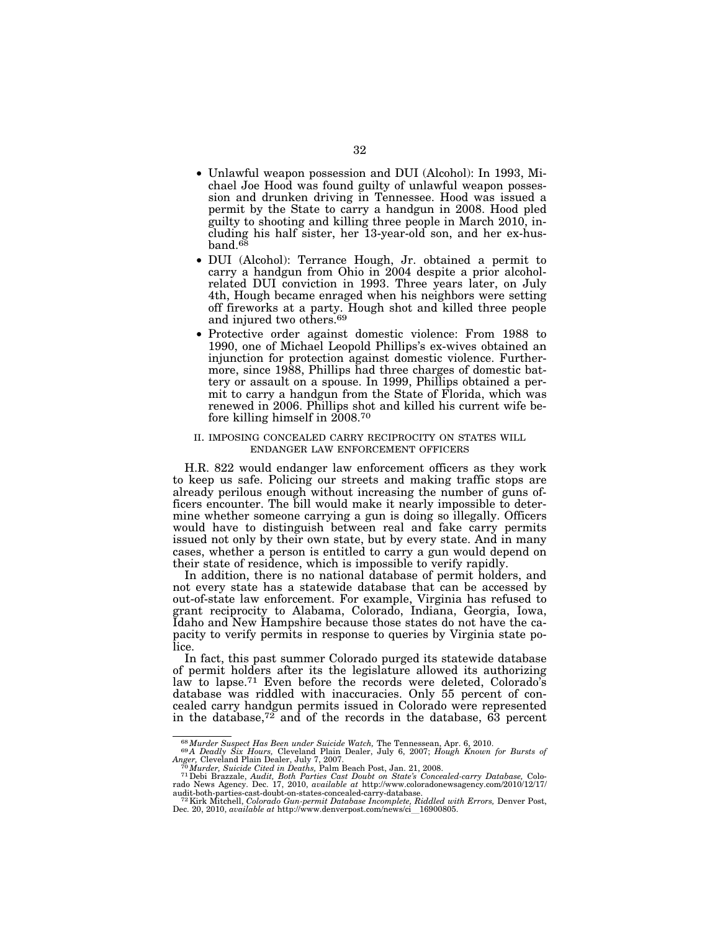- Unlawful weapon possession and DUI (Alcohol): In 1993, Michael Joe Hood was found guilty of unlawful weapon possession and drunken driving in Tennessee. Hood was issued a permit by the State to carry a handgun in 2008. Hood pled guilty to shooting and killing three people in March 2010, including his half sister, her 13-year-old son, and her ex-husband.<sup>68</sup>
- DUI (Alcohol): Terrance Hough, Jr. obtained a permit to carry a handgun from Ohio in 2004 despite a prior alcoholrelated DUI conviction in 1993. Three years later, on July 4th, Hough became enraged when his neighbors were setting off fireworks at a party. Hough shot and killed three people and injured two others.69
- Protective order against domestic violence: From 1988 to 1990, one of Michael Leopold Phillips's ex-wives obtained an injunction for protection against domestic violence. Furthermore, since 1988, Phillips had three charges of domestic battery or assault on a spouse. In 1999, Phillips obtained a permit to carry a handgun from the State of Florida, which was renewed in 2006. Phillips shot and killed his current wife before killing himself in 2008.70

#### II. IMPOSING CONCEALED CARRY RECIPROCITY ON STATES WILL ENDANGER LAW ENFORCEMENT OFFICERS

H.R. 822 would endanger law enforcement officers as they work to keep us safe. Policing our streets and making traffic stops are already perilous enough without increasing the number of guns officers encounter. The bill would make it nearly impossible to determine whether someone carrying a gun is doing so illegally. Officers would have to distinguish between real and fake carry permits issued not only by their own state, but by every state. And in many cases, whether a person is entitled to carry a gun would depend on their state of residence, which is impossible to verify rapidly.

In addition, there is no national database of permit holders, and not every state has a statewide database that can be accessed by out-of-state law enforcement. For example, Virginia has refused to grant reciprocity to Alabama, Colorado, Indiana, Georgia, Iowa, Idaho and New Hampshire because those states do not have the capacity to verify permits in response to queries by Virginia state police.

In fact, this past summer Colorado purged its statewide database of permit holders after its the legislature allowed its authorizing law to lapse.71 Even before the records were deleted, Colorado's database was riddled with inaccuracies. Only 55 percent of concealed carry handgun permits issued in Colorado were represented in the database,<sup>72</sup> and of the records in the database,  $63$  percent

<sup>&</sup>lt;sup>68</sup>*Murder Suspect Has Been under Suicide Watch*, The Tennessean, Apr. 6, 2010.<br><sup>69</sup>*A Deadly Six Hours,* Cleveland Plain Dealer, July 6, 2007; *Hough Known for Bursts of Anger, Cleveland Plain Dealer, July 7, 2007*.<br><sup>7</sup>

Anger, Cleveland Plain Dealer, July 7, 2007.<br><sup>70</sup>Murder, Suicide Cited in Deaths, Palm Beach Post, Jan. 21, 2008.<br><sup>71</sup> Debi Brazzale, Audit, Both Parties Cast Doubt on State's Concealed-carry Database, Colo-<br>rado News Agen audit-both-parties-cast-doubt-on-states-concealed-carry-database. 72Kirk Mitchell, *Colorado Gun-permit Database Incomplete, Riddled with Errors,* Denver Post,

Dec. 20, 2010, *available at* http://www.denverpost.com/news/ci\_16900805.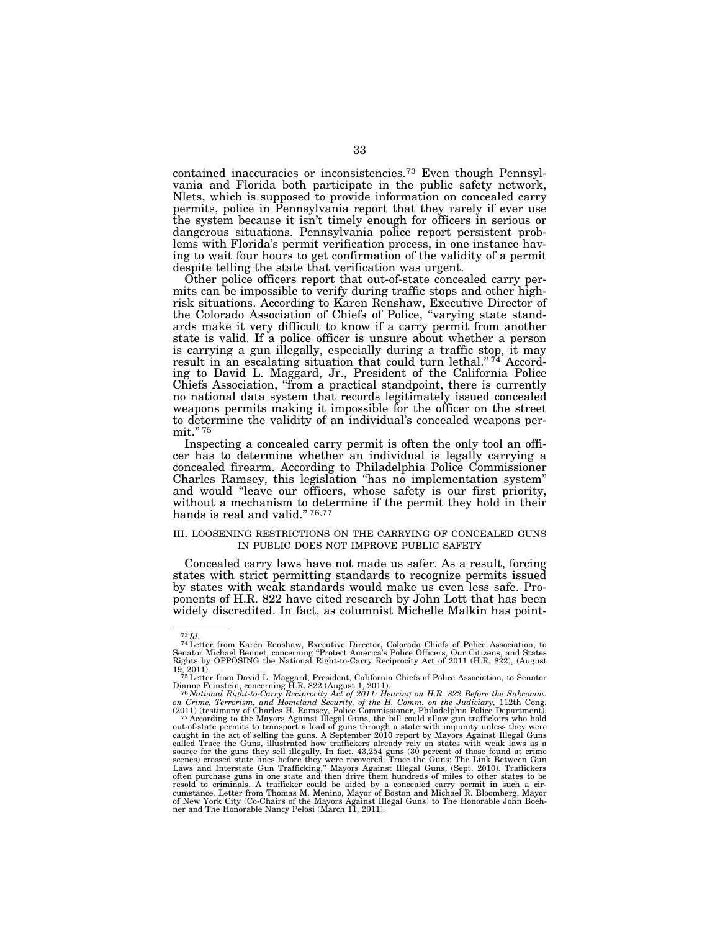contained inaccuracies or inconsistencies.73 Even though Pennsylvania and Florida both participate in the public safety network, Nlets, which is supposed to provide information on concealed carry permits, police in Pennsylvania report that they rarely if ever use the system because it isn't timely enough for officers in serious or dangerous situations. Pennsylvania police report persistent problems with Florida's permit verification process, in one instance having to wait four hours to get confirmation of the validity of a permit despite telling the state that verification was urgent.

Other police officers report that out-of-state concealed carry permits can be impossible to verify during traffic stops and other highrisk situations. According to Karen Renshaw, Executive Director of the Colorado Association of Chiefs of Police, ''varying state standards make it very difficult to know if a carry permit from another state is valid. If a police officer is unsure about whether a person is carrying a gun illegally, especially during a traffic stop, it may result in an escalating situation that could turn lethal." $74$  According to David L. Maggard, Jr., President of the California Police Chiefs Association, ''from a practical standpoint, there is currently no national data system that records legitimately issued concealed weapons permits making it impossible for the officer on the street to determine the validity of an individual's concealed weapons permit."<sup>75</sup>

Inspecting a concealed carry permit is often the only tool an officer has to determine whether an individual is legally carrying a concealed firearm. According to Philadelphia Police Commissioner Charles Ramsey, this legislation ''has no implementation system'' and would "leave our officers, whose safety is our first priority, without a mechanism to determine if the permit they hold in their hands is real and valid."<sup>76,77</sup>

### III. LOOSENING RESTRICTIONS ON THE CARRYING OF CONCEALED GUNS IN PUBLIC DOES NOT IMPROVE PUBLIC SAFETY

Concealed carry laws have not made us safer. As a result, forcing states with strict permitting standards to recognize permits issued by states with weak standards would make us even less safe. Proponents of H.R. 822 have cited research by John Lott that has been widely discredited. In fact, as columnist Michelle Malkin has point-

 $^{73}$ Id.<br> $^{74}$ Letter from Karen Renshaw, Executive Director, Colorado Chiefs of Police Association, to<br>Senator Michael Bennet, concerning "Protect America's Police Officers, Our Citizens, and States<br>Rights by OPPOSING t

<sup>19, 2011). 75</sup>Letter from David L. Maggard, President, California Chiefs of Police Association, to Senator Dianne Feinstein, concerning H.R. 822 (August 1, 2011). 76 *National Right-to-Carry Reciprocity Act of 2011: Hearing on H.R. 822 Before the Subcomm.* 

<sup>&</sup>lt;sup>on</sup> *on Crime, Terrorism, and Homeland Security, of the H. Comm. on the Judiciary, 112th Cong.*<br>*on Crime, Terrorism, and Homeland Security, of the H. Comm. on the Judiciary, 112th Cong.*<br>(2011) (testimony of Charles H. R

<sup>(2011) (</sup>testimony of Charles H. Ramsey, Police Commissioner, Philadelphia Police Department).<br><sup>77</sup> According to the Mayors Against Illegal Guns, the bill could allow gun traffickers who hold<br>out-of-state permits to transpo called Trace the Guns, illustrated how traffickers already rely on states with weak laws as a source for the guns they sell illegally. In fact, 43,254 guns (30 percent of those found at crime scenes) crossed state lines be cumstance. Letter from Thomas M. Menino, Mayor of Boston and Michael R. Bloomberg, Mayor<br>of New York City (Co-Chairs of the Mayors Against Illegal Guns) to The Honorable John Boeh-<br>ner and The Honorable Nancy Pelosi (March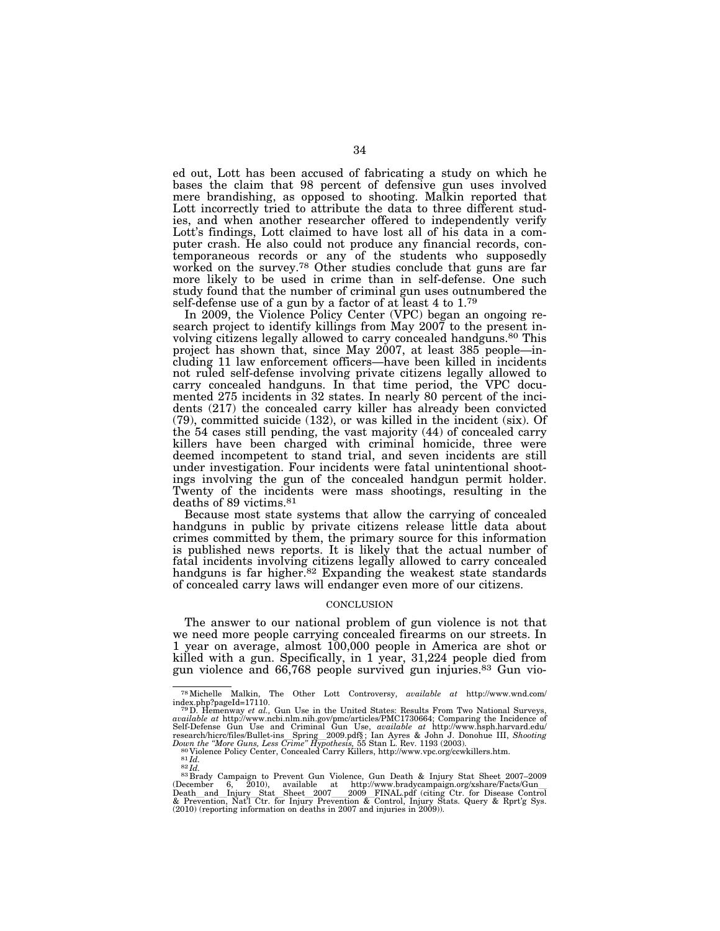ed out, Lott has been accused of fabricating a study on which he bases the claim that 98 percent of defensive gun uses involved mere brandishing, as opposed to shooting. Malkin reported that Lott incorrectly tried to attribute the data to three different studies, and when another researcher offered to independently verify Lott's findings, Lott claimed to have lost all of his data in a computer crash. He also could not produce any financial records, contemporaneous records or any of the students who supposedly worked on the survey.<sup>78</sup> Other studies conclude that guns are far more likely to be used in crime than in self-defense. One such study found that the number of criminal gun uses outnumbered the self-defense use of a gun by a factor of at least 4 to 1.<sup>79</sup>

In 2009, the Violence Policy Center (VPC) began an ongoing research project to identify killings from May 2007 to the present involving citizens legally allowed to carry concealed handguns.80 This project has shown that, since May 2007, at least 385 people—including 11 law enforcement officers—have been killed in incidents not ruled self-defense involving private citizens legally allowed to carry concealed handguns. In that time period, the VPC documented 275 incidents in 32 states. In nearly 80 percent of the incidents (217) the concealed carry killer has already been convicted (79), committed suicide (132), or was killed in the incident (six). Of the 54 cases still pending, the vast majority (44) of concealed carry killers have been charged with criminal homicide, three were deemed incompetent to stand trial, and seven incidents are still under investigation. Four incidents were fatal unintentional shootings involving the gun of the concealed handgun permit holder. Twenty of the incidents were mass shootings, resulting in the deaths of 89 victims.81

Because most state systems that allow the carrying of concealed handguns in public by private citizens release little data about crimes committed by them, the primary source for this information is published news reports. It is likely that the actual number of fatal incidents involving citizens legally allowed to carry concealed handguns is far higher.<sup>82</sup> Expanding the weakest state standards of concealed carry laws will endanger even more of our citizens.

### **CONCLUSION**

The answer to our national problem of gun violence is not that we need more people carrying concealed firearms on our streets. In 1 year on average, almost 100,000 people in America are shot or killed with a gun. Specifically, in 1 year, 31,224 people died from gun violence and 66,768 people survived gun injuries.83 Gun vio-

<sup>78</sup>Michelle Malkin, The Other Lott Controversy, *available at* http://www.wnd.com/ index.php?pageId=17110. 79D. Hemenway *et al.,* Gun Use in the United States: Results From Two National Surveys,

available at http://www.ncbi.nlm.nih.gov/pmc/articles/PMC1730664; Comparing the Incidence of Self-Defense Gun Use and Criminal Gun Use, available at http://www.hsph.harvard.edu/<br>research/hicrc/files/Bullet-ins Spring 2009

<sup>(</sup>December 6, 2010), available at http://www.bradycampaign.org/xshare/Facts/Gun\_<br>Death and Injury Stat Sheet 2007 2009 FINAL.pdf (citing Ctr. for Disease Control<br>& Prevention, Nat'l Ctr. for Injury Prevention & Control, Inj